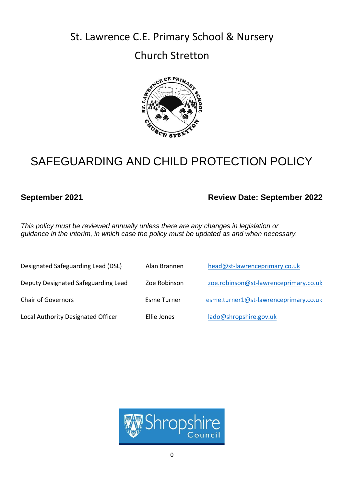# St. Lawrence C.E. Primary School & Nursery

# Church Stretton



# SAFEGUARDING AND CHILD PROTECTION POLICY

### **September 2021 Review Date: September 2022**

*This policy must be reviewed annually unless there are any changes in legislation or guidance in the interim, in which case the policy must be updated as and when necessary.* 

| Designated Safeguarding Lead (DSL)  | Alan Brannen | head@st-lawrenceprimary.co.uk         |
|-------------------------------------|--------------|---------------------------------------|
| Deputy Designated Safeguarding Lead | Zoe Robinson | zoe.robinson@st-lawrenceprimary.co.uk |
| <b>Chair of Governors</b>           | Esme Turner  | esme.turner1@st-lawrenceprimary.co.uk |
| Local Authority Designated Officer  | Ellie Jones  | lado@shropshire.gov.uk                |

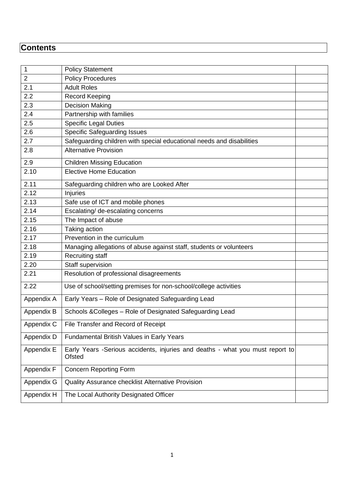### **Contents**

| 1              | <b>Policy Statement</b>                                                                 |  |
|----------------|-----------------------------------------------------------------------------------------|--|
| $\overline{2}$ | <b>Policy Procedures</b>                                                                |  |
| 2.1            | <b>Adult Roles</b>                                                                      |  |
| 2.2            | <b>Record Keeping</b>                                                                   |  |
| 2.3            | <b>Decision Making</b>                                                                  |  |
| 2.4            | Partnership with families                                                               |  |
| 2.5            | <b>Specific Legal Duties</b>                                                            |  |
| 2.6            | <b>Specific Safeguarding Issues</b>                                                     |  |
| 2.7            | Safeguarding children with special educational needs and disabilities                   |  |
| 2.8            | <b>Alternative Provision</b>                                                            |  |
| 2.9            | <b>Children Missing Education</b>                                                       |  |
| 2.10           | <b>Elective Home Education</b>                                                          |  |
| 2.11           | Safeguarding children who are Looked After                                              |  |
| 2.12           | <b>Injuries</b>                                                                         |  |
| 2.13           | Safe use of ICT and mobile phones                                                       |  |
| 2.14           | Escalating/ de-escalating concerns                                                      |  |
| 2.15           | The Impact of abuse                                                                     |  |
| 2.16           | Taking action                                                                           |  |
| 2.17           | Prevention in the curriculum                                                            |  |
| 2.18           | Managing allegations of abuse against staff, students or volunteers                     |  |
| 2.19           | <b>Recruiting staff</b>                                                                 |  |
| 2.20           | Staff supervision                                                                       |  |
| 2.21           | Resolution of professional disagreements                                                |  |
| 2.22           | Use of school/setting premises for non-school/college activities                        |  |
| Appendix A     | Early Years - Role of Designated Safeguarding Lead                                      |  |
| Appendix B     | Schools & Colleges - Role of Designated Safeguarding Lead                               |  |
| Appendix C     | File Transfer and Record of Receipt                                                     |  |
| Appendix D     | <b>Fundamental British Values in Early Years</b>                                        |  |
| Appendix E     | Early Years -Serious accidents, injuries and deaths - what you must report to<br>Ofsted |  |
| Appendix F     | <b>Concern Reporting Form</b>                                                           |  |
| Appendix G     | Quality Assurance checklist Alternative Provision                                       |  |
| Appendix H     | The Local Authority Designated Officer                                                  |  |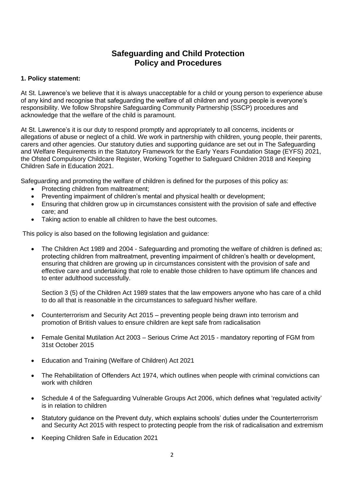### **Safeguarding and Child Protection Policy and Procedures**

### **1. Policy statement:**

At St. Lawrence's we believe that it is always unacceptable for a child or young person to experience abuse of any kind and recognise that safeguarding the welfare of all children and young people is everyone's responsibility. We follow Shropshire Safeguarding Community Partnership (SSCP) procedures and acknowledge that the welfare of the child is paramount.

At St. Lawrence's it is our duty to respond promptly and appropriately to all concerns, incidents or allegations of abuse or neglect of a child. We work in partnership with children, young people, their parents, carers and other agencies. Our statutory duties and supporting guidance are set out in The Safeguarding and Welfare Requirements in the Statutory Framework for the Early Years Foundation Stage (EYFS) 2021, the Ofsted Compulsory Childcare Register, Working Together to Safeguard Children 2018 and Keeping Children Safe in Education 2021.

Safeguarding and promoting the welfare of children is defined for the purposes of this policy as:

- Protecting children from maltreatment;
- Preventing impairment of children's mental and physical health or development;
- Ensuring that children grow up in circumstances consistent with the provision of safe and effective care; and
- Taking action to enable all children to have the best outcomes.

This policy is also based on the following legislation and guidance:

• The Children Act 1989 and 2004 - Safeguarding and promoting the welfare of children is defined as; protecting children from maltreatment, preventing impairment of children's health or development, ensuring that children are growing up in circumstances consistent with the provision of safe and effective care and undertaking that role to enable those children to have optimum life chances and to enter adulthood successfully.

Section 3 (5) of the Children Act 1989 states that the law empowers anyone who has care of a child to do all that is reasonable in the circumstances to safeguard his/her welfare.

- Counterterrorism and Security Act 2015 preventing people being drawn into terrorism and promotion of British values to ensure children are kept safe from radicalisation
- Female Genital Mutilation Act 2003 Serious Crime Act 2015 mandatory reporting of FGM from 31st October 2015
- Education and Training (Welfare of Children) Act 2021
- The Rehabilitation of Offenders Act 1974, which outlines when people with criminal convictions can work with children
- Schedule 4 of the Safeguarding Vulnerable Groups Act 2006, which defines what 'regulated activity' is in relation to children
- Statutory guidance on the Prevent duty, which explains schools' duties under the Counterterrorism and Security Act 2015 with respect to protecting people from the risk of radicalisation and extremism
- Keeping Children Safe in Education 2021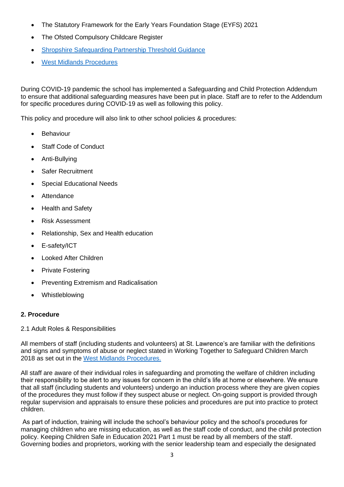- The Statutory Framework for the Early Years Foundation Stage (EYFS) 2021
- The Ofsted Compulsory Childcare Register
- [Shropshire Safeguarding Partnership Threshold Guidance](https://westmidlands.procedures.org.uk/local-content/2gjN/thresholds-guidance/?b=Shropshire)
- [West Midlands Procedures](https://westmidlands.procedures.org.uk/)

During COVID-19 pandemic the school has implemented a Safeguarding and Child Protection Addendum to ensure that additional safeguarding measures have been put in place. Staff are to refer to the Addendum for specific procedures during COVID-19 as well as following this policy.

This policy and procedure will also link to other school policies & procedures:

- Behaviour
- Staff Code of Conduct
- Anti-Bullying
- Safer Recruitment
- Special Educational Needs
- **Attendance**
- Health and Safety
- Risk Assessment
- Relationship, Sex and Health education
- E-safety/ICT
- Looked After Children
- Private Fostering
- Preventing Extremism and Radicalisation
- Whistleblowing

### **2. Procedure**

### 2.1 Adult Roles & Responsibilities

All members of staff (including students and volunteers) at St. Lawrence's are familiar with the definitions and signs and symptoms of abuse or neglect stated in Working Together to Safeguard Children March 2018 as set out in the [West Midlands Procedures.](https://westmidlands.procedures.org.uk/ykpzl/statutory-child-protection-procedures/additional-guidance#s531)

All staff are aware of their individual roles in safeguarding and promoting the welfare of children including their responsibility to be alert to any issues for concern in the child's life at home or elsewhere. We ensure that all staff (including students and volunteers) undergo an induction process where they are given copies of the procedures they must follow if they suspect abuse or neglect. On-going support is provided through regular supervision and appraisals to ensure these policies and procedures are put into practice to protect children.

As part of induction, training will include the school's behaviour policy and the school's procedures for managing children who are missing education, as well as the staff code of conduct, and the child protection policy. Keeping Children Safe in Education 2021 Part 1 must be read by all members of the staff. Governing bodies and proprietors, working with the senior leadership team and especially the designated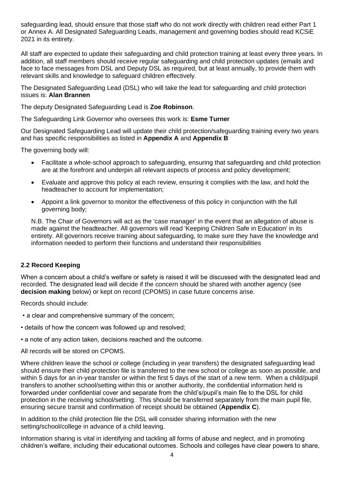safeguarding lead, should ensure that those staff who do not work directly with children read either Part 1 or Annex A. All Designated Safeguarding Leads, management and governing bodies should read KCSiE 2021 in its entirety.

All staff are expected to update their safeguarding and child protection training at least every three years. In addition, all staff members should receive regular safeguarding and child protection updates (emails and face to face messages from DSL and Deputy DSL as required, but at least annually, to provide them with relevant skills and knowledge to safeguard children effectively.

The Designated Safeguarding Lead (DSL) who will take the lead for safeguarding and child protection issues is: **Alan Brannen**

The deputy Designated Safeguarding Lead is **Zoe Robinson**.

The Safeguarding Link Governor who oversees this work is: **Esme Turner**

Our Designated Safeguarding Lead will update their child protection/safeguarding training every two years and has specific responsibilities as listed in **Appendix A** and **Appendix B**

The governing body will:

- Facilitate a whole-school approach to safeguarding, ensuring that safeguarding and child protection are at the forefront and underpin all relevant aspects of process and policy development;
- Evaluate and approve this policy at each review, ensuring it complies with the law, and hold the headteacher to account for implementation;
- Appoint a link governor to monitor the effectiveness of this policy in conjunction with the full governing body;

N.B. The Chair of Governors will act as the 'case manager' in the event that an allegation of abuse is made against the headteacher. All governors will read 'Keeping Children Safe in Education' in its entirety. All governors receive training about safeguarding, to make sure they have the knowledge and information needed to perform their functions and understand their responsibilities

### **2.2 Record Keeping**

When a concern about a child's welfare or safety is raised it will be discussed with the designated lead and recorded. The designated lead will decide if the concern should be shared with another agency (see **decision making** below) or kept on record (CPOMS) in case future concerns arise.

Records should include:

- a clear and comprehensive summary of the concern;
- details of how the concern was followed up and resolved;
- a note of any action taken, decisions reached and the outcome.

All records will be stored on CPOMS.

Where children leave the school or college (including in year transfers) the designated safeguarding lead should ensure their child protection file is transferred to the new school or college as soon as possible, and within 5 days for an in-year transfer or within the first 5 days of the start of a new term. When a child/pupil transfers to another school/setting within this or another authority, the confidential information held is forwarded under confidential cover and separate from the child's/pupil's main file to the DSL for child protection in the receiving school/setting. This should be transferred separately from the main pupil file, ensuring secure transit and confirmation of receipt should be obtained (**Appendix C**).

In addition to the child protection file the DSL will consider sharing information with the new setting/school/college in advance of a child leaving.

Information sharing is vital in identifying and tackling all forms of abuse and neglect, and in promoting children's welfare, including their educational outcomes. Schools and colleges have clear powers to share,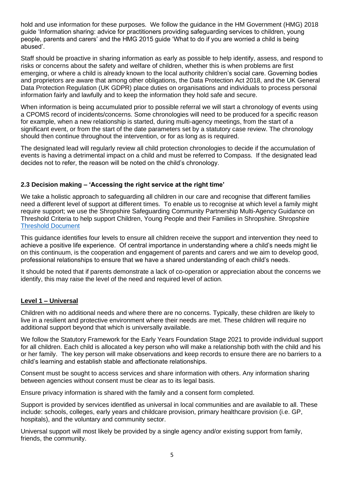hold and use information for these purposes. We follow the guidance in the HM Government (HMG) 2018 guide 'Information sharing: advice for practitioners providing safeguarding services to children, young people, parents and carers' and the HMG 2015 guide 'What to do if you are worried a child is being abused'.

Staff should be proactive in sharing information as early as possible to help identify, assess, and respond to risks or concerns about the safety and welfare of children, whether this is when problems are first emerging, or where a child is already known to the local authority children's social care. Governing bodies and proprietors are aware that among other obligations, the Data Protection Act 2018, and the UK General Data Protection Regulation (UK GDPR) place duties on organisations and individuals to process personal information fairly and lawfully and to keep the information they hold safe and secure.

When information is being accumulated prior to possible referral we will start a chronology of events using a CPOMS record of incidents/concerns. Some chronologies will need to be produced for a specific reason for example, when a new relationship is started, during multi-agency meetings, from the start of a significant event, or from the start of the date parameters set by a statutory case review. The chronology should then continue throughout the intervention, or for as long as is required.

The designated lead will regularly review all child protection chronologies to decide if the accumulation of events is having a detrimental impact on a child and must be referred to Compass. If the designated lead decides not to refer, the reason will be noted on the child's chronology.

### **2.3 Decision making – 'Accessing the right service at the right time'**

We take a holistic approach to safeguarding all children in our care and recognise that different families need a different level of support at different times. To enable us to recognise at which level a family might require support; we use the Shropshire Safeguarding Community Partnership Multi-Agency Guidance on Threshold Criteria to help support Children, Young People and their Families in Shropshire. Shropshire [Threshold Doc](https://westmidlands.procedures.org.uk/local-content/2gjN/thresholds-guidance/?b=Shropshire)ument

This guidance identifies four levels to ensure all children receive the support and intervention they need to achieve a positive life experience. Of central importance in understanding where a child's needs might lie on this continuum, is the cooperation and engagement of parents and carers and we aim to develop good, professional relationships to ensure that we have a shared understanding of each child's needs.

It should be noted that if parents demonstrate a lack of co-operation or appreciation about the concerns we identify, this may raise the level of the need and required level of action.

### **Level 1 – Universal**

Children with no additional needs and where there are no concerns. Typically, these children are likely to live in a resilient and protective environment where their needs are met. These children will require no additional support beyond that which is universally available.

We follow the Statutory Framework for the Early Years Foundation Stage 2021 to provide individual support for all children. Each child is allocated a key person who will make a relationship both with the child and his or her family. The key person will make observations and keep records to ensure there are no barriers to a child's learning and establish stable and affectionate relationships.

Consent must be sought to access services and share information with others. Any information sharing between agencies without consent must be clear as to its legal basis.

Ensure privacy information is shared with the family and a consent form completed.

Support is provided by services identified as universal in local communities and are available to all. These include: schools, colleges, early years and childcare provision, primary healthcare provision (i.e. GP, hospitals), and the voluntary and community sector.

Universal support will most likely be provided by a single agency and/or existing support from family, friends, the community.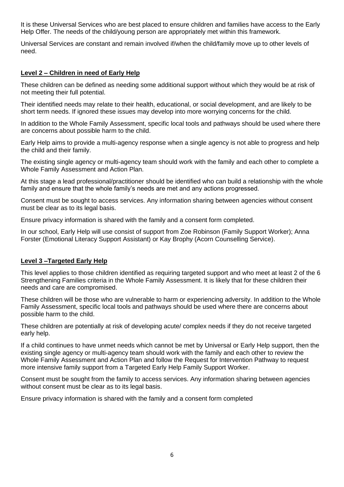It is these Universal Services who are best placed to ensure children and families have access to the Early Help Offer. The needs of the child/young person are appropriately met within this framework.

Universal Services are constant and remain involved if/when the child/family move up to other levels of need.

### **Level 2 – Children in need of Early Help**

These children can be defined as needing some additional support without which they would be at risk of not meeting their full potential.

Their identified needs may relate to their health, educational, or social development, and are likely to be short term needs. If ignored these issues may develop into more worrying concerns for the child.

In addition to the Whole Family Assessment, specific local tools and pathways should be used where there are concerns about possible harm to the child.

Early Help aims to provide a multi-agency response when a single agency is not able to progress and help the child and their family.

The existing single agency or multi-agency team should work with the family and each other to complete a Whole Family Assessment and Action Plan.

At this stage a lead professional/practitioner should be identified who can build a relationship with the whole family and ensure that the whole family's needs are met and any actions progressed.

Consent must be sought to access services. Any information sharing between agencies without consent must be clear as to its legal basis.

Ensure privacy information is shared with the family and a consent form completed.

In our school, Early Help will use consist of support from Zoe Robinson (Family Support Worker); Anna Forster (Emotional Literacy Support Assistant) or Kay Brophy (Acorn Counselling Service).

### **Level 3 –Targeted Early Help**

This level applies to those children identified as requiring targeted support and who meet at least 2 of the 6 Strengthening Families criteria in the Whole Family Assessment. It is likely that for these children their needs and care are compromised.

These children will be those who are vulnerable to harm or experiencing adversity. In addition to the Whole Family Assessment, specific local tools and pathways should be used where there are concerns about possible harm to the child.

These children are potentially at risk of developing acute/ complex needs if they do not receive targeted early help.

If a child continues to have unmet needs which cannot be met by Universal or Early Help support, then the existing single agency or multi-agency team should work with the family and each other to review the Whole Family Assessment and Action Plan and follow the Request for Intervention Pathway to request more intensive family support from a Targeted Early Help Family Support Worker.

Consent must be sought from the family to access services. Any information sharing between agencies without consent must be clear as to its legal basis.

Ensure privacy information is shared with the family and a consent form completed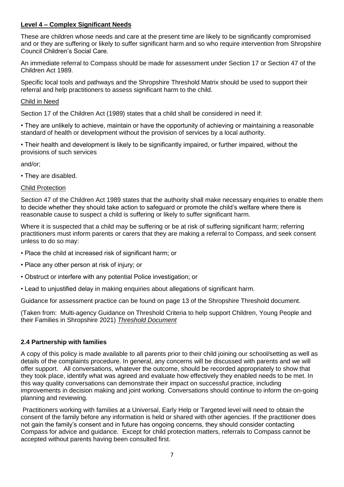### **Level 4 – Complex Significant Needs**

These are children whose needs and care at the present time are likely to be significantly compromised and or they are suffering or likely to suffer significant harm and so who require intervention from Shropshire Council Children's Social Care.

An immediate referral to Compass should be made for assessment under Section 17 or Section 47 of the Children Act 1989.

Specific local tools and pathways and the Shropshire Threshold Matrix should be used to support their referral and help practitioners to assess significant harm to the child.

### Child in Need

Section 17 of the Children Act (1989) states that a child shall be considered in need if:

• They are unlikely to achieve, maintain or have the opportunity of achieving or maintaining a reasonable standard of health or development without the provision of services by a local authority.

• Their health and development is likely to be significantly impaired, or further impaired, without the provisions of such services

and/or;

• They are disabled.

### Child Protection

Section 47 of the Children Act 1989 states that the authority shall make necessary enquiries to enable them to decide whether they should take action to safeguard or promote the child's welfare where there is reasonable cause to suspect a child is suffering or likely to suffer significant harm.

Where it is suspected that a child may be suffering or be at risk of suffering significant harm; referring practitioners must inform parents or carers that they are making a referral to Compass, and seek consent unless to do so may:

- Place the child at increased risk of significant harm; or
- Place any other person at risk of injury; or
- Obstruct or interfere with any potential Police investigation; or
- Lead to unjustified delay in making enquiries about allegations of significant harm.

Guidance for assessment practice can be found on page 13 of the Shropshire Threshold document.

(Taken from: Multi-agency Guidance on Threshold Criteria to help support Children, Young People and their Families in Shropshire 2021) *[Threshold Doc](https://westmidlands.procedures.org.uk/local-content/2gjN/thresholds-guidance/?b=Shropshire)ument*

### **2.4 Partnership with families**

A copy of this policy is made available to all parents prior to their child joining our school/setting as well as details of the complaints procedure. In general, any concerns will be discussed with parents and we will offer support. All conversations, whatever the outcome, should be recorded appropriately to show that they took place, identify what was agreed and evaluate how effectively they enabled needs to be met. In this way quality conversations can demonstrate their impact on successful practice, including improvements in decision making and joint working. Conversations should continue to inform the on-going planning and reviewing.

Practitioners working with families at a Universal, Early Help or Targeted level will need to obtain the consent of the family before any information is held or shared with other agencies. If the practitioner does not gain the family's consent and in future has ongoing concerns, they should consider contacting Compass for advice and guidance. Except for child protection matters, referrals to Compass cannot be accepted without parents having been consulted first.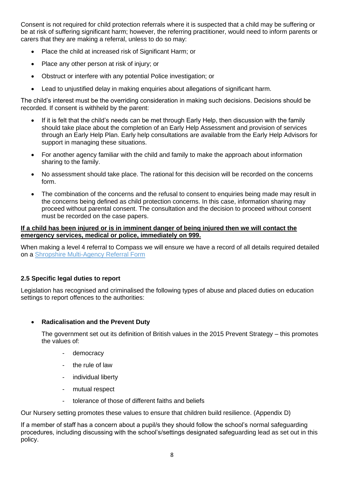Consent is not required for child protection referrals where it is suspected that a child may be suffering or be at risk of suffering significant harm; however, the referring practitioner, would need to inform parents or carers that they are making a referral, unless to do so may:

- Place the child at increased risk of Significant Harm; or
- Place any other person at risk of injury; or
- Obstruct or interfere with any potential Police investigation; or
- Lead to unjustified delay in making enquiries about allegations of significant harm.

The child's interest must be the overriding consideration in making such decisions. Decisions should be recorded. If consent is withheld by the parent:

- If it is felt that the child's needs can be met through Early Help, then discussion with the family should take place about the completion of an Early Help Assessment and provision of services through an Early Help Plan. Early help consultations are available from the Early Help Advisors for support in managing these situations.
- For another agency familiar with the child and family to make the approach about information sharing to the family.
- No assessment should take place. The rational for this decision will be recorded on the concerns form.
- The combination of the concerns and the refusal to consent to enquiries being made may result in the concerns being defined as child protection concerns. In this case, information sharing may proceed without parental consent. The consultation and the decision to proceed without consent must be recorded on the case papers.

### **If a child has been injured or is in imminent danger of being injured then we will contact the emergency services, medical or police, immediately on 999.**

When making a level 4 referral to Compass we will ensure we have a record of all details required detailed on a [Shropshire Multi-Agency Referral Form](http://westmidlands.procedures.org.uk/local-content/zgjN/multi-agency-referral-reporting-concerns-marf)

### **2.5 Specific legal duties to report**

Legislation has recognised and criminalised the following types of abuse and placed duties on education settings to report offences to the authorities:

### • **Radicalisation and the Prevent Duty**

The government set out its definition of British values in the 2015 Prevent Strategy – this promotes the values of:

- democracy
- the rule of law
- individual liberty
- mutual respect
- tolerance of those of different faiths and beliefs

Our Nursery setting promotes these values to ensure that children build resilience. (Appendix D)

If a member of staff has a concern about a pupil/s they should follow the school's normal safeguarding procedures, including discussing with the school's/settings designated safeguarding lead as set out in this policy.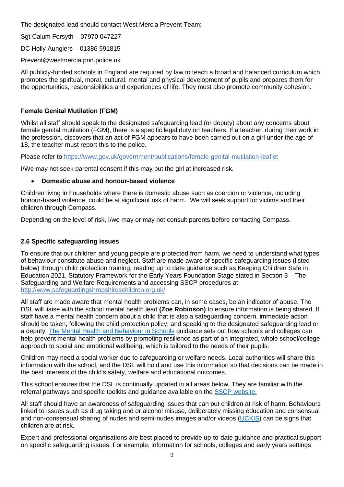The designated lead should contact West Mercia Prevent Team:

Sgt Calum Forsyth – 07970 047227

DC Holly Aungiers – 01386 591815

Prevent@westmercia.pnn.police.uk

All publicly-funded schools in England are required by law to teach a broad and balanced curriculum which promotes the spiritual, moral, cultural, mental and physical development of pupils and prepares them for the opportunities, responsibilities and experiences of life. They must also promote community cohesion.

### **Female Genital Mutilation (FGM)**

Whilst all staff should speak to the designated safeguarding lead (or deputy) about any concerns about female genital mutilation (FGM), there is a specific legal duty on teachers. If a teacher, during their work in the profession, discovers that an act of FGM appears to have been carried out on a girl under the age of 18, the teacher must report this to the police.

Please refer to<https://www.gov.uk/government/publications/female-genital-mutilation-leaflet>

I/We may not seek parental consent if this may put the girl at increased risk.

### • **Domestic abuse and honour-based violence**

Children living in households where there is domestic abuse such as coercion or violence, including honour-based violence, could be at significant risk of harm. We will seek support for victims and their children through Compass.

Depending on the level of risk, I/we may or may not consult parents before contacting Compass.

### **2.6 Specific safeguarding issues**

To ensure that our children and young people are protected from harm, we need to understand what types of behaviour constitute abuse and neglect. Staff are made aware of specific safeguarding issues (listed below) through child protection training, reading up to date guidance such as Keeping Children Safe in Education 2021, Statutory Framework for the Early Years Foundation Stage stated in Section 3 – The Safeguarding and Welfare Requirements and accessing SSCP procedures at <http://www.safeguardingshropshireschildren.org.uk/>

All staff are made aware that mental health problems can, in some cases, be an indicator of abuse. The DSL will liaise with the school mental health lead **(Zoe Robinson)** to ensure information is being shared. If staff have a mental health concern about a child that is also a safeguarding concern, immediate action should be taken, following the child protection policy, and speaking to the designated safeguarding lead or a deputy. [The Mental Health and Behaviour](https://assets.publishing.service.gov.uk/government/uploads/system/uploads/attachment_data/file/755135/Mental_health_and_behaviour_in_schools__.pdf) in Schools guidance sets out how schools and colleges can help prevent mental health problems by promoting resilience as part of an integrated, whole school/college approach to social and emotional wellbeing, which is tailored to the needs of their pupils.

Children may need a social worker due to safeguarding or welfare needs. Local authorities will share this information with the school, and the DSL will hold and use this information so that decisions can be made in the best interests of the child's safety, welfare and educational outcomes.

This school ensures that the DSL is continually updated in all areas below. They are familiar with the referral pathways and specific toolkits and guidance available on the SSCP [website.](http://www.safeguardingshropshireschildren.org.uk/)

All staff should have an awareness of safeguarding issues that can put children at risk of harm. Behaviours linked to issues such as drug taking and or alcohol misuse, deliberately missing education and consensual and non-consensual sharing of nudes and semi-nudes images and/or videos [\(UCKIS\)](https://www.gov.uk/government/publications/sharing-nudes-and-semi-nudes-advice-for-education-settings-working-with-children-and-young-people) can be signs that children are at risk.

Expert and professional organisations are best placed to provide up-to-date guidance and practical support on specific safeguarding issues. For example, information for schools, colleges and early years settings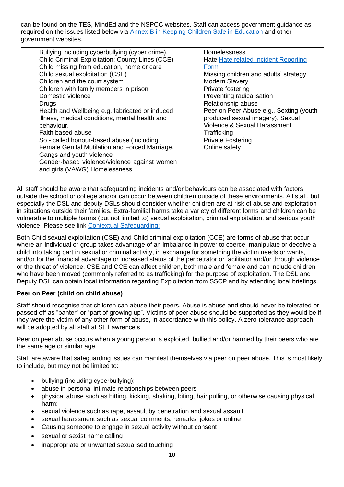can be found on the TES, MindEd and the NSPCC websites. Staff can access government guidance as required on the issues listed below via [Annex B in Keeping Children Safe in Education](https://assets.publishing.service.gov.uk/government/uploads/system/uploads/attachment_data/file/999348/Keeping_children_safe_in_education_2021.pdf) and other government websites.

| Bullying including cyberbullying (cyber crime).<br>Child Criminal Exploitation: County Lines (CCE)<br>Child missing from education, home or care<br>Child sexual exploitation (CSE)<br>Children and the court system<br>Children with family members in prison<br>Domestic violence<br>Drugs<br>Health and Wellbeing e.g. fabricated or induced<br>illness, medical conditions, mental health and<br>behaviour.<br>Faith based abuse<br>So - called honour-based abuse (including<br>Female Genital Mutilation and Forced Marriage.<br>Gangs and youth violence<br>Gender-based violence/violence against women<br>and girls (VAWG) Homelessness | <b>Homelessness</b><br>Hate <b>Hate related Incident Reporting</b><br>Form<br>Missing children and adults' strategy<br><b>Modern Slavery</b><br>Private fostering<br>Preventing radicalisation<br>Relationship abuse<br>Peer on Peer Abuse e.g., Sexting (youth<br>produced sexual imagery), Sexual<br>Violence & Sexual Harassment<br>Trafficking<br><b>Private Fostering</b><br>Online safety |
|--------------------------------------------------------------------------------------------------------------------------------------------------------------------------------------------------------------------------------------------------------------------------------------------------------------------------------------------------------------------------------------------------------------------------------------------------------------------------------------------------------------------------------------------------------------------------------------------------------------------------------------------------|-------------------------------------------------------------------------------------------------------------------------------------------------------------------------------------------------------------------------------------------------------------------------------------------------------------------------------------------------------------------------------------------------|
|--------------------------------------------------------------------------------------------------------------------------------------------------------------------------------------------------------------------------------------------------------------------------------------------------------------------------------------------------------------------------------------------------------------------------------------------------------------------------------------------------------------------------------------------------------------------------------------------------------------------------------------------------|-------------------------------------------------------------------------------------------------------------------------------------------------------------------------------------------------------------------------------------------------------------------------------------------------------------------------------------------------------------------------------------------------|

All staff should be aware that safeguarding incidents and/or behaviours can be associated with factors outside the school or college and/or can occur between children outside of these environments. All staff, but especially the DSL and deputy DSLs should consider whether children are at risk of abuse and exploitation in situations outside their families. Extra-familial harms take a variety of different forms and children can be vulnerable to multiple harms (but not limited to) sexual exploitation, criminal exploitation, and serious youth violence. Please see link [Contextual Safeguarding:](https://contextualsafeguarding.org.uk/)

Both Child sexual exploitation (CSE) and Child criminal exploitation (CCE) are forms of abuse that occur where an individual or group takes advantage of an imbalance in power to coerce, manipulate or deceive a child into taking part in sexual or criminal activity, in exchange for something the victim needs or wants, and/or for the financial advantage or increased status of the perpetrator or facilitator and/or through violence or the threat of violence. CSE and CCE can affect children, both male and female and can include children who have been moved (commonly referred to as trafficking) for the purpose of exploitation. The DSL and Deputy DSL can obtain local information regarding Exploitation from SSCP and by attending local briefings.

### **Peer on Peer (child on child abuse)**

Staff should recognise that children can abuse their peers. Abuse is abuse and should never be tolerated or passed off as "banter" or "part of growing up". Victims of peer abuse should be supported as they would be if they were the victim of any other form of abuse, in accordance with this policy. A zero-tolerance approach will be adopted by all staff at St. Lawrence's.

Peer on peer abuse occurs when a young person is exploited, bullied and/or harmed by their peers who are the same age or similar age.

Staff are aware that safeguarding issues can manifest themselves via peer on peer abuse. This is most likely to include, but may not be limited to:

- bullying (including cyberbullying);
- abuse in personal intimate relationships between peers
- physical abuse such as hitting, kicking, shaking, biting, hair pulling, or otherwise causing physical harm;
- sexual violence such as rape, assault by penetration and sexual assault
- sexual harassment such as sexual comments, remarks, jokes or online
- Causing someone to engage in sexual activity without consent
- sexual or sexist name calling
- inappropriate or unwanted sexualised touching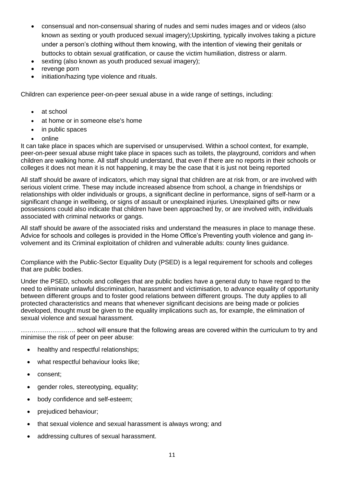- consensual and non-consensual sharing of nudes and semi nudes images and or videos (also known as sexting or youth produced sexual imagery);Upskirting, typically involves taking a picture under a person's clothing without them knowing, with the intention of viewing their genitals or buttocks to obtain sexual gratification, or cause the victim humiliation, distress or alarm.
- sexting (also known as youth produced sexual imagery);
- revenge porn
- initiation/hazing type violence and rituals.

Children can experience peer-on-peer sexual abuse in a wide range of settings, including:

- at school
- at home or in someone else's home
- in public spaces
- online

It can take place in spaces which are supervised or unsupervised. Within a school context, for example, peer-on-peer sexual abuse might take place in spaces such as toilets, the playground, corridors and when children are walking home. All staff should understand, that even if there are no reports in their schools or colleges it does not mean it is not happening, it may be the case that it is just not being reported

All staff should be aware of indicators, which may signal that children are at risk from, or are involved with serious violent crime. These may include increased absence from school, a change in friendships or relationships with older individuals or groups, a significant decline in performance, signs of self-harm or a significant change in wellbeing, or signs of assault or unexplained injuries. Unexplained gifts or new possessions could also indicate that children have been approached by, or are involved with, individuals associated with criminal networks or gangs.

All staff should be aware of the associated risks and understand the measures in place to manage these. Advice for schools and colleges is provided in the Home Office's Preventing youth violence and gang involvement and its Criminal exploitation of children and vulnerable adults: county lines guidance.

Compliance with the Public-Sector Equality Duty (PSED) is a legal requirement for schools and colleges that are public bodies.

Under the PSED, schools and colleges that are public bodies have a general duty to have regard to the need to eliminate unlawful discrimination, harassment and victimisation, to advance equality of opportunity between different groups and to foster good relations between different groups. The duty applies to all protected characteristics and means that whenever significant decisions are being made or policies developed, thought must be given to the equality implications such as, for example, the elimination of sexual violence and sexual harassment.

…………………….. school will ensure that the following areas are covered within the curriculum to try and minimise the risk of peer on peer abuse:

- healthy and respectful relationships;
- what respectful behaviour looks like;
- consent;
- gender roles, stereotyping, equality;
- body confidence and self-esteem;
- prejudiced behaviour;
- that sexual violence and sexual harassment is always wrong; and
- addressing cultures of sexual harassment.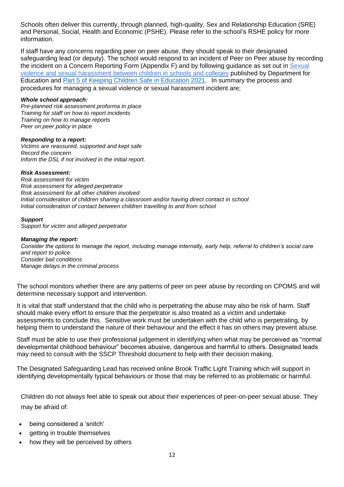Schools often deliver this currently, through planned, high-quality, Sex and Relationship Education (SRE) and Personal, Social, Health and Economic (PSHE). Please refer to the school's RSHE policy for more information.

If staff have any concerns regarding peer on peer abuse, they should speak to their designated safeguarding lead (or deputy). The school would respond to an incident of Peer on Peer abuse by recording the incident on a Concern Reporting Form (Appendix F) and by following guidance as set out in [Sexual](https://assets.publishing.service.gov.uk/government/uploads/system/uploads/attachment_data/file/719902/Sexual_violence_and_sexual_harassment_between_children_in_schools_and_colleges.pdf)  [violence and sexual harassment between children in schools and colleges](https://assets.publishing.service.gov.uk/government/uploads/system/uploads/attachment_data/file/719902/Sexual_violence_and_sexual_harassment_between_children_in_schools_and_colleges.pdf) published by Department for Education and [Part 5 of Keeping Children Safe in Education 2021.](https://assets.publishing.service.gov.uk/government/uploads/system/uploads/attachment_data/file/999348/Keeping_children_safe_in_education_2021.pdf) In summary the process and procedures for managing a sexual violence or sexual harassment incident are;

#### *Whole school approach:*

*Pre-planned risk assessment proforma in place Training for staff on how to report incidents Training on how to manage reports Peer on peer policy in place*

#### *Responding to a report:*

*Victims are reassured, supported and kept safe Record the concern Inform the DSL if not involved in the initial report.*

#### *Risk Assessment:*

*Risk assessment for victim Risk assessment for alleged perpetrator Risk assessment for all other children involved Initial consideration of children sharing a classroom and/or having direct contact in school Initial consideration of contact between children travelling to and from school*

#### *Support*

*Support for victim and alleged perpetrator*

#### *Managing the report:*

*Consider the options to manage the report, including manage internally, early help, referral to children's social care and report to police Consider bail conditions Manage delays in the criminal process*

The school monitors whether there are any patterns of peer on peer abuse by recording on CPOMS and will determine necessary support and intervention.

It is vital that staff understand that the child who is perpetrating the abuse may also be risk of harm. Staff should make every effort to ensure that the perpetrator is also treated as a victim and undertake assessments to conclude this. Sensitive work must be undertaken with the child who is perpetrating, by helping them to understand the nature of their behaviour and the effect it has on others may prevent abuse.

Staff must be able to use their professional judgement in identifying when what may be perceived as "normal developmental childhood behaviour" becomes abusive, dangerous and harmful to others. Designated leads may need to consult with the SSCP Threshold document to help with their decision making.

The Designated Safeguarding Lead has received online Brook Traffic Light Training which will support in identifying developmentally typical behaviours or those that may be referred to as problematic or harmful.

Children do not always feel able to speak out about their experiences of peer-on-peer sexual abuse. They may be afraid of:

- being considered a 'snitch'
- getting in trouble themselves
- how they will be perceived by others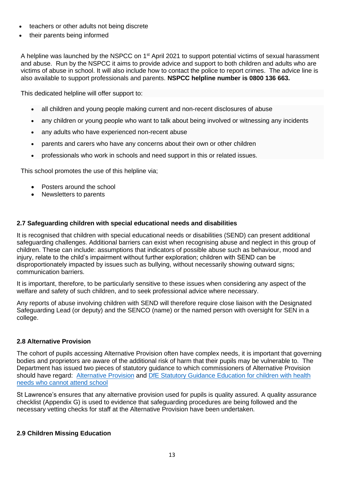- teachers or other adults not being discrete
- their parents being informed

A helpline was launched by the NSPCC on 1<sup>st</sup> April 2021 to support potential victims of sexual harassment and abuse. Run by the NSPCC it aims to provide advice and support to both children and adults who are victims of abuse in school. It will also include how to contact the police to report crimes. The advice line is also available to support professionals and parents. **NSPCC helpline number is 0800 136 663.**

This dedicated helpline will offer support to:

- all children and young people making current and non-recent disclosures of abuse
- any children or young people who want to talk about being involved or witnessing any incidents
- any adults who have experienced non-recent abuse
- parents and carers who have any concerns about their own or other children
- professionals who work in schools and need support in this or related issues.

This school promotes the use of this helpline via;

- Posters around the school
- Newsletters to parents

### **2.7 Safeguarding children with special educational needs and disabilities**

It is recognised that children with special educational needs or disabilities (SEND) can present additional safeguarding challenges. Additional barriers can exist when recognising abuse and neglect in this group of children. These can include: assumptions that indicators of possible abuse such as behaviour, mood and injury, relate to the child's impairment without further exploration; children with SEND can be disproportionately impacted by issues such as bullying, without necessarily showing outward signs; communication barriers.

It is important, therefore, to be particularly sensitive to these issues when considering any aspect of the welfare and safety of such children, and to seek professional advice where necessary.

Any reports of abuse involving children with SEND will therefore require close liaison with the Designated Safeguarding Lead (or deputy) and the SENCO (name) or the named person with oversight for SEN in a college.

### **2.8 Alternative Provision**

The cohort of pupils accessing Alternative Provision often have complex needs, it is important that governing bodies and proprietors are aware of the additional risk of harm that their pupils may be vulnerable to. The Department has issued two pieces of statutory guidance to which commissioners of Alternative Provision should have regard: [Alternative](https://www.gov.uk/government/publications/alternative-provision) Provision and DfE Statutory Guidance Education for children with health [needs who cannot attend school](https://www.gov.uk/government/publications/education-for-children-with-health-needs-who-cannot-attend-school)

St Lawrence's ensures that any alternative provision used for pupils is quality assured. A quality assurance checklist (Appendix G) is used to evidence that safeguarding procedures are being followed and the necessary vetting checks for staff at the Alternative Provision have been undertaken.

### **2.9 Children Missing Education**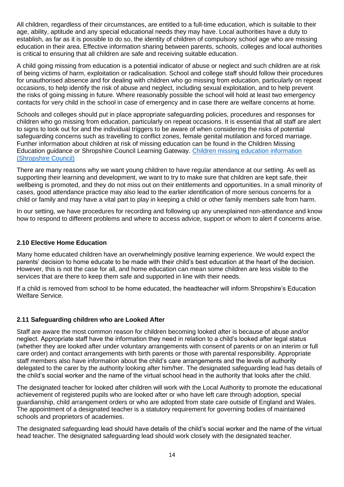All children, regardless of their circumstances, are entitled to a full-time education, which is suitable to their age, ability, aptitude and any special educational needs they may have. Local authorities have a duty to establish, as far as it is possible to do so, the identity of children of compulsory school age who are missing education in their area. Effective information sharing between parents, schools, colleges and local authorities is critical to ensuring that all children are safe and receiving suitable education.

A child going missing from education is a potential indicator of abuse or neglect and such children are at risk of being victims of harm, exploitation or radicalisation. School and college staff should follow their procedures for unauthorised absence and for dealing with children who go missing from education, particularly on repeat occasions, to help identify the risk of abuse and neglect, including sexual exploitation, and to help prevent the risks of going missing in future. Where reasonably possible the school will hold at least two emergency contacts for very child in the school in case of emergency and in case there are welfare concerns at home.

Schools and colleges should put in place appropriate safeguarding policies, procedures and responses for children who go missing from education, particularly on repeat occasions. It is essential that all staff are alert to signs to look out for and the individual triggers to be aware of when considering the risks of potential safeguarding concerns such as travelling to conflict zones, female genital mutilation and forced marriage. Further information about children at risk of missing education can be found in the Children Missing Education guidance or Shropshire Council Learning Gateway. [Children missing education information](https://shropshire.gov.uk/schools-and-education/school-attendance-or-exclusion/children-missing-education-cme/)  [\(Shropshire Council\)](https://shropshire.gov.uk/schools-and-education/school-attendance-or-exclusion/children-missing-education-cme/)

There are many reasons why we want young children to have regular attendance at our setting. As well as supporting their learning and development, we want to try to make sure that children are kept safe, their wellbeing is promoted, and they do not miss out on their entitlements and opportunities. In a small minority of cases, good attendance practice may also lead to the earlier identification of more serious concerns for a child or family and may have a vital part to play in keeping a child or other family members safe from harm.

In our setting, we have procedures for recording and following up any unexplained non-attendance and know how to respond to different problems and where to access advice, support or whom to alert if concerns arise.

### **2.10 Elective Home Education**

Many home educated children have an overwhelmingly positive learning experience. We would expect the parents' decision to home educate to be made with their child's best education at the heart of the decision. However, this is not the case for all, and home education can mean some children are less visible to the services that are there to keep them safe and supported in line with their needs.

If a child is removed from school to be home educated, the headteacher will inform Shropshire's Education Welfare Service.

### **2.11 Safeguarding children who are Looked After**

Staff are aware the most common reason for children becoming looked after is because of abuse and/or neglect. Appropriate staff have the information they need in relation to a child's looked after legal status (whether they are looked after under voluntary arrangements with consent of parents or on an interim or full care order) and contact arrangements with birth parents or those with parental responsibility. Appropriate staff members also have information about the child's care arrangements and the levels of authority delegated to the carer by the authority looking after him/her. The designated safeguarding lead has details of the child's social worker and the name of the virtual school head in the authority that looks after the child.

The designated teacher for looked after children will work with the Local Authority to promote the educational achievement of registered pupils who are looked after or who have left care through adoption, special guardianship, child arrangement orders or who are adopted from state care outside of England and Wales. The appointment of a designated teacher is a statutory requirement for governing bodies of maintained schools and proprietors of academies.

The designated safeguarding lead should have details of the child's social worker and the name of the virtual head teacher. The designated safeguarding lead should work closely with the designated teacher.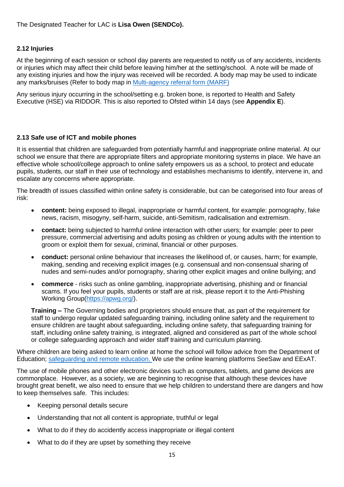The Designated Teacher for LAC is **Lisa Owen (SENDCo).**

### **2.12 Injuries**

At the beginning of each session or school day parents are requested to notify us of any accidents, incidents or injuries which may affect their child before leaving him/her at the setting/school. A note will be made of any existing injuries and how the injury was received will be recorded. A body map may be used to indicate any marks/bruises (Refer to body map in [Multi-agency referral form \(MARF\)](http://westmidlands.procedures.org.uk/local-content/zgjN/multi-agency-referral-reporting-concerns-marf/?b=Shropshire) 

Any serious injury occurring in the school/setting e.g. broken bone, is reported to Health and Safety Executive (HSE) via RIDDOR. This is also reported to Ofsted within 14 days (see **Appendix E**).

### **2.13 Safe use of ICT and mobile phones**

It is essential that children are safeguarded from potentially harmful and inappropriate online material. At our school we ensure that there are appropriate filters and appropriate monitoring systems in place. We have an effective whole school/college approach to online safety empowers us as a school, to protect and educate pupils, students, our staff in their use of technology and establishes mechanisms to identify, intervene in, and escalate any concerns where appropriate.

The breadth of issues classified within online safety is considerable, but can be categorised into four areas of risk:

- **content:** being exposed to illegal, inappropriate or harmful content, for example: pornography, fake news, racism, misogyny, self-harm, suicide, anti-Semitism, radicalisation and extremism.
- **contact:** being subjected to harmful online interaction with other users; for example: peer to peer pressure, commercial advertising and adults posing as children or young adults with the intention to groom or exploit them for sexual, criminal, financial or other purposes.
- **conduct:** personal online behaviour that increases the likelihood of, or causes, harm; for example, making, sending and receiving explicit images (e.g. consensual and non-consensual sharing of nudes and semi-nudes and/or pornography, sharing other explicit images and online bullying; and
- **commerce**  risks such as online gambling, inappropriate advertising, phishing and or financial scams. If you feel your pupils, students or staff are at risk, please report it to the Anti-Phishing Working Group[\(https://apwg.org/\)](https://apwg.org/).

**Training –** The Governing bodies and proprietors should ensure that, as part of the requirement for staff to undergo regular updated safeguarding training, including online safety and the requirement to ensure children are taught about safeguarding, including online safety, that safeguarding training for staff, including online safety training, is integrated, aligned and considered as part of the whole school or college safeguarding approach and wider staff training and curriculum planning.

Where children are being asked to learn online at home the school will follow advice from the Department of Education; [safeguarding and remote education.](https://www.gov.uk/guidance/safeguarding-and-remote-education-during-coronavirus-covid-19) We use the online learning platforms SeeSaw and EExAT.

The use of mobile phones and other electronic devices such as computers, tablets, and game devices are commonplace. However, as a society, we are beginning to recognise that although these devices have brought great benefit, we also need to ensure that we help children to understand there are dangers and how to keep themselves safe. This includes:

- Keeping personal details secure
- Understanding that not all content is appropriate, truthful or legal
- What to do if they do accidently access inappropriate or illegal content
- What to do if they are upset by something they receive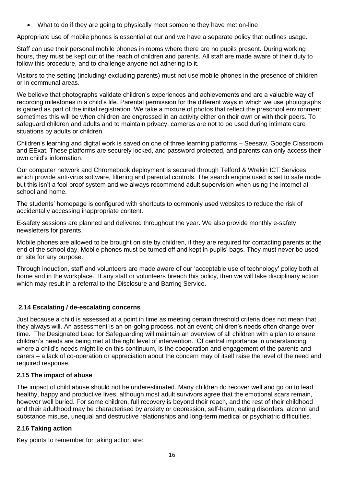• What to do if they are going to physically meet someone they have met on-line

Appropriate use of mobile phones is essential at our and we have a separate policy that outlines usage.

Staff can use their personal mobile phones in rooms where there are no pupils present. During working hours, they must be kept out of the reach of children and parents. All staff are made aware of their duty to follow this procedure, and to challenge anyone not adhering to it.

Visitors to the setting (including/ excluding parents) must not use mobile phones in the presence of children or in communal areas.

We believe that photographs validate children's experiences and achievements and are a valuable way of recording milestones in a child's life. Parental permission for the different ways in which we use photographs is gained as part of the initial registration. We take a mixture of photos that reflect the preschool environment, sometimes this will be when children are engrossed in an activity either on their own or with their peers. To safeguard children and adults and to maintain privacy, cameras are not to be used during intimate care situations by adults or children.

Children's learning and digital work is saved on one of three learning platforms – Seesaw, Google Classroom and EExat. These platforms are securely locked, and password protected, and parents can only access their own child's information.

Our computer network and Chromebook deployment is secured through Telford & Wrekin ICT Services which provide anti-virus software, filtering and parental controls. The search engine used is set to safe mode but this isn't a fool proof system and we always recommend adult supervision when using the internet at school and home.

The students' homepage is configured with shortcuts to commonly used websites to reduce the risk of accidentally accessing inappropriate content.

E-safety sessions are planned and delivered throughout the year. We also provide monthly e-safety newsletters for parents.

Mobile phones are allowed to be brought on site by children, if they are required for contacting parents at the end of the school day. Mobile phones must be turned off and kept in pupils' bags. They must never be used on site for any purpose.

Through induction, staff and volunteers are made aware of our 'acceptable use of technology' policy both at home and in the workplace. If any staff or volunteers breach this policy, then we will take disciplinary action which may result in a referral to the Disclosure and Barring Service.

### **2.14 Escalating / de-escalating concerns**

Just because a child is assessed at a point in time as meeting certain threshold criteria does not mean that they always will. An assessment is an on-going process, not an event; children's needs often change over time. The Designated Lead for Safeguarding will maintain an overview of all children with a plan to ensure children's needs are being met at the right level of intervention. Of central importance in understanding where a child's needs might lie on this continuum, is the cooperation and engagement of the parents and carers – a lack of co-operation or appreciation about the concern may of itself raise the level of the need and required response.

### **2.15 The impact of abuse**

The impact of child abuse should not be underestimated. Many children do recover well and go on to lead healthy, happy and productive lives, although most adult survivors agree that the emotional scars remain, however well buried. For some children, full recovery is beyond their reach, and the rest of their childhood and their adulthood may be characterised by anxiety or depression, self-harm, eating disorders, alcohol and substance misuse, unequal and destructive relationships and long-term medical or psychiatric difficulties.

### **2.16 Taking action**

Key points to remember for taking action are: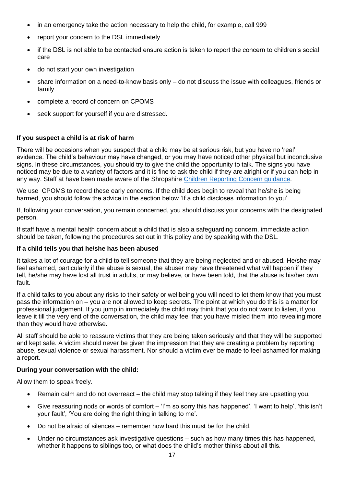- in an emergency take the action necessary to help the child, for example, call 999
- report your concern to the DSL immediately
- if the DSL is not able to be contacted ensure action is taken to report the concern to children's social care
- do not start your own investigation
- share information on a need-to-know basis only do not discuss the issue with colleagues, friends or family
- complete a record of concern on CPOMS
- seek support for yourself if you are distressed.

### **If you suspect a child is at risk of harm**

There will be occasions when you suspect that a child may be at serious risk, but you have no 'real' evidence. The child's behaviour may have changed, or you may have noticed other physical but inconclusive signs. In these circumstances, you should try to give the child the opportunity to talk. The signs you have noticed may be due to a variety of factors and it is fine to ask the child if they are alright or if you can help in any way. Staff at have been made aware of the Shropshire [Children Reporting Concern guidance.](http://www.shropshirelg.net/services/safeguarding/schools-and-early-years/early-years-schools-safeguarding-policies-guidance/)

We use CPOMS to record these early concerns. If the child does begin to reveal that he/she is being harmed, you should follow the advice in the section below 'If a child discloses information to you'.

If, following your conversation, you remain concerned, you should discuss your concerns with the designated person.

If staff have a mental health concern about a child that is also a safeguarding concern, immediate action should be taken, following the procedures set out in this policy and by speaking with the DSL.

### **If a child tells you that he/she has been abused**

It takes a lot of courage for a child to tell someone that they are being neglected and or abused. He/she may feel ashamed, particularly if the abuse is sexual, the abuser may have threatened what will happen if they tell, he/she may have lost all trust in adults, or may believe, or have been told, that the abuse is his/her own fault.

If a child talks to you about any risks to their safety or wellbeing you will need to let them know that you must pass the information on – you are not allowed to keep secrets. The point at which you do this is a matter for professional judgement. If you jump in immediately the child may think that you do not want to listen, if you leave it till the very end of the conversation, the child may feel that you have misled them into revealing more than they would have otherwise.

All staff should be able to reassure victims that they are being taken seriously and that they will be supported and kept safe. A victim should never be given the impression that they are creating a problem by reporting abuse, sexual violence or sexual harassment. Nor should a victim ever be made to feel ashamed for making a report.

### **During your conversation with the child:**

Allow them to speak freely.

- Remain calm and do not overreact the child may stop talking if they feel they are upsetting you.
- Give reassuring nods or words of comfort 'I'm so sorry this has happened', 'I want to help', 'this isn't your fault', 'You are doing the right thing in talking to me'.
- Do not be afraid of silences remember how hard this must be for the child.
- Under no circumstances ask investigative questions such as how many times this has happened, whether it happens to siblings too, or what does the child's mother thinks about all this.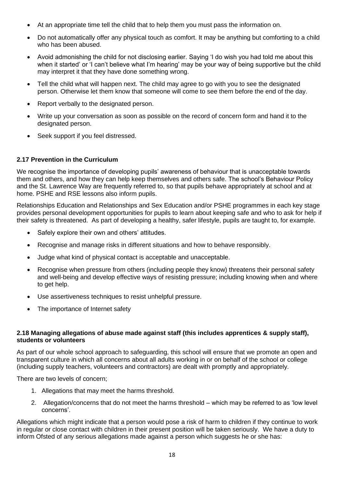- At an appropriate time tell the child that to help them you must pass the information on.
- Do not automatically offer any physical touch as comfort. It may be anything but comforting to a child who has been abused.
- Avoid admonishing the child for not disclosing earlier. Saying 'I do wish you had told me about this when it started' or 'I can't believe what I'm hearing' may be your way of being supportive but the child may interpret it that they have done something wrong.
- Tell the child what will happen next. The child may agree to go with you to see the designated person. Otherwise let them know that someone will come to see them before the end of the day.
- Report verbally to the designated person.
- Write up your conversation as soon as possible on the record of concern form and hand it to the designated person.
- Seek support if you feel distressed.

### **2.17 Prevention in the Curriculum**

We recognise the importance of developing pupils' awareness of behaviour that is unacceptable towards them and others, and how they can help keep themselves and others safe. The school's Behaviour Policy and the St. Lawrence Way are frequently referred to, so that pupils behave appropriately at school and at home. PSHE and RSE lessons also inform pupils.

Relationships Education and Relationships and Sex Education and/or PSHE programmes in each key stage provides personal development opportunities for pupils to learn about keeping safe and who to ask for help if their safety is threatened. As part of developing a healthy, safer lifestyle, pupils are taught to, for example.

- Safely explore their own and others' attitudes.
- Recognise and manage risks in different situations and how to behave responsibly.
- Judge what kind of physical contact is acceptable and unacceptable.
- Recognise when pressure from others (including people they know) threatens their personal safety and well-being and develop effective ways of resisting pressure; including knowing when and where to get help.
- Use assertiveness techniques to resist unhelpful pressure.
- The importance of Internet safety

### **2.18 Managing allegations of abuse made against staff (this includes apprentices & supply staff), students or volunteers**

As part of our whole school approach to safeguarding, this school will ensure that we promote an open and transparent culture in which all concerns about all adults working in or on behalf of the school or college (including supply teachers, volunteers and contractors) are dealt with promptly and appropriately.

There are two levels of concern;

- 1. Allegations that may meet the harms threshold.
- 2. Allegation/concerns that do not meet the harms threshold which may be referred to as 'low level concerns'.

Allegations which might indicate that a person would pose a risk of harm to children if they continue to work in regular or close contact with children in their present position will be taken seriously. We have a duty to inform Ofsted of any serious allegations made against a person which suggests he or she has: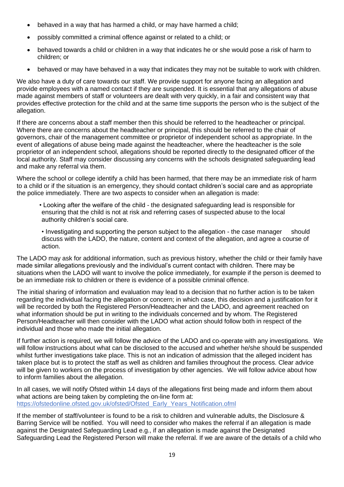- behaved in a way that has harmed a child, or may have harmed a child;
- possibly committed a criminal offence against or related to a child; or
- behaved towards a child or children in a way that indicates he or she would pose a risk of harm to children; or
- behaved or may have behaved in a way that indicates they may not be suitable to work with children.

We also have a duty of care towards our staff. We provide support for anyone facing an allegation and provide employees with a named contact if they are suspended. It is essential that any allegations of abuse made against members of staff or volunteers are dealt with very quickly, in a fair and consistent way that provides effective protection for the child and at the same time supports the person who is the subject of the allegation.

If there are concerns about a staff member then this should be referred to the headteacher or principal. Where there are concerns about the headteacher or principal, this should be referred to the chair of governors, chair of the management committee or proprietor of independent school as appropriate. In the event of allegations of abuse being made against the headteacher, where the headteacher is the sole proprietor of an independent school, allegations should be reported directly to the designated officer of the local authority. Staff may consider discussing any concerns with the schools designated safeguarding lead and make any referral via them.

Where the school or college identify a child has been harmed, that there may be an immediate risk of harm to a child or if the situation is an emergency, they should contact children's social care and as appropriate the police immediately. There are two aspects to consider when an allegation is made:

• Looking after the welfare of the child - the designated safeguarding lead is responsible for ensuring that the child is not at risk and referring cases of suspected abuse to the local authority children's social care.

• Investigating and supporting the person subject to the allegation - the case manager should discuss with the LADO, the nature, content and context of the allegation, and agree a course of action.

The LADO may ask for additional information, such as previous history, whether the child or their family have made similar allegations previously and the individual's current contact with children. There may be situations when the LADO will want to involve the police immediately, for example if the person is deemed to be an immediate risk to children or there is evidence of a possible criminal offence.

The initial sharing of information and evaluation may lead to a decision that no further action is to be taken regarding the individual facing the allegation or concern; in which case, this decision and a justification for it will be recorded by both the Registered Person/Headteacher and the LADO, and agreement reached on what information should be put in writing to the individuals concerned and by whom. The Registered Person/Headteacher will then consider with the LADO what action should follow both in respect of the individual and those who made the initial allegation.

If further action is required, we will follow the advice of the LADO and co-operate with any investigations. We will follow instructions about what can be disclosed to the accused and whether he/she should be suspended whilst further investigations take place. This is not an indication of admission that the alleged incident has taken place but is to protect the staff as well as children and families throughout the process. Clear advice will be given to workers on the process of investigation by other agencies. We will follow advice about how to inform families about the allegation.

In all cases, we will notify Ofsted within 14 days of the allegations first being made and inform them about what actions are being taken by completing the on-line form at: [https://ofstedonline.ofsted.gov.uk/ofsted/Ofsted\\_Early\\_Years\\_Notification.ofml](https://ofstedonline.ofsted.gov.uk/ofsted/Ofsted_Early_Years_Notification.ofml)

If the member of staff/volunteer is found to be a risk to children and vulnerable adults, the Disclosure & Barring Service will be notified. You will need to consider who makes the referral if an allegation is made against the Designated Safeguarding Lead e.g., if an allegation is made against the Designated Safeguarding Lead the Registered Person will make the referral. If we are aware of the details of a child who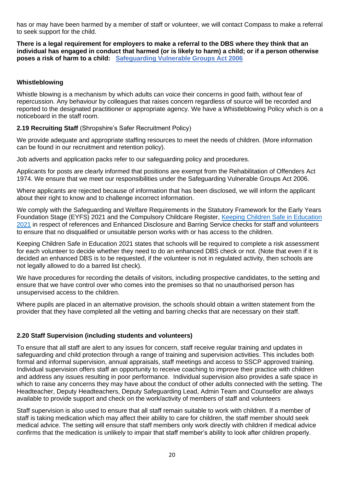has or may have been harmed by a member of staff or volunteer, we will contact Compass to make a referral to seek support for the child.

**There is a legal requirement for employers to make a referral to the DBS where they think that an individual has engaged in conduct that harmed (or is likely to harm) a child; or if a person otherwise poses a risk of harm to a child: [Safeguarding Vulnerable Groups Act 2006](http://www.legislation.gov.uk/ukpga/2006/47/pdfs/ukpga_20060047_en.pdf)**

### **Whistleblowing**

Whistle blowing is a mechanism by which adults can voice their concerns in good faith, without fear of repercussion. Any behaviour by colleagues that raises concern regardless of source will be recorded and reported to the designated practitioner or appropriate agency. We have a Whistleblowing Policy which is on a noticeboard in the staff room.

### **2.19 Recruiting Staff** (Shropshire's Safer Recruitment Policy)

We provide adequate and appropriate staffing resources to meet the needs of children. (More information can be found in our recruitment and retention policy).

Job adverts and application packs refer to our safeguarding policy and procedures.

Applicants for posts are clearly informed that positions are exempt from the Rehabilitation of Offenders Act 1974. We ensure that we meet our responsibilities under the Safeguarding Vulnerable Groups Act 2006.

Where applicants are rejected because of information that has been disclosed, we will inform the applicant about their right to know and to challenge incorrect information.

We comply with the Safeguarding and Welfare Requirements in the Statutory Framework for the Early Years Foundation Stage (EYFS) 2021 and the Compulsory Childcare Register, [Keeping Children Safe in Education](https://assets.publishing.service.gov.uk/government/uploads/system/uploads/attachment_data/file/999348/Keeping_children_safe_in_education_2021.pdf)  [2021](https://assets.publishing.service.gov.uk/government/uploads/system/uploads/attachment_data/file/999348/Keeping_children_safe_in_education_2021.pdf) in respect of references and Enhanced Disclosure and Barring Service checks for staff and volunteers to ensure that no disqualified or unsuitable person works with or has access to the children.

Keeping Children Safe in Education 2021 states that schools will be required to complete a risk assessment for each volunteer to decide whether they need to do an enhanced DBS check or not. (Note that even if it is decided an enhanced DBS is to be requested, if the volunteer is not in regulated activity, then schools are not legally allowed to do a barred list check).

We have procedures for recording the details of visitors, including prospective candidates, to the setting and ensure that we have control over who comes into the premises so that no unauthorised person has unsupervised access to the children.

Where pupils are placed in an alternative provision, the schools should obtain a written statement from the provider that they have completed all the vetting and barring checks that are necessary on their staff.

### **2.20 Staff Supervision (including students and volunteers)**

To ensure that all staff are alert to any issues for concern, staff receive regular training and updates in safeguarding and child protection through a range of training and supervision activities. This includes both formal and informal supervision, annual appraisals, staff meetings and access to SSCP approved training. Individual supervision offers staff an opportunity to receive coaching to improve their practice with children and address any issues resulting in poor performance. Individual supervision also provides a safe space in which to raise any concerns they may have about the conduct of other adults connected with the setting. The Headteacher, Deputy Headteachers, Deputy Safeguarding Lead, Admin Team and Counsellor are always available to provide support and check on the work/activity of members of staff and volunteers

Staff supervision is also used to ensure that all staff remain suitable to work with children. If a member of staff is taking medication which may affect their ability to care for children, the staff member should seek medical advice. The setting will ensure that staff members only work directly with children if medical advice confirms that the medication is unlikely to impair that staff member's ability to look after children properly.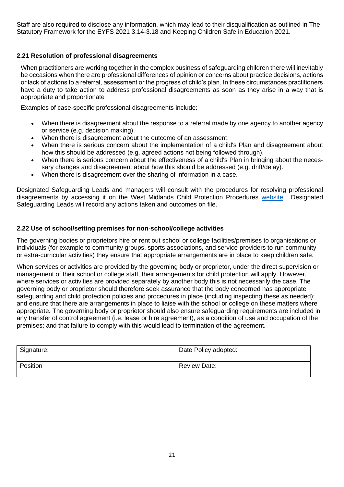Staff are also required to disclose any information, which may lead to their disqualification as outlined in The Statutory Framework for the EYFS 2021 3.14-3.18 and Keeping Children Safe in Education 2021.

### **2.21 Resolution of professional disagreements**

When practitioners are working together in the complex business of safeguarding children there will inevitably be occasions when there are professional differences of opinion or concerns about practice decisions, actions or lack of actions to a referral, assessment or the progress of child's plan. In these circumstances practitioners have a duty to take action to address professional disagreements as soon as they arise in a way that is appropriate and proportionate

Examples of case-specific professional disagreements include:

- When there is disagreement about the response to a referral made by one agency to another agency or service (e.g. decision making).
- When there is disagreement about the outcome of an assessment.
- When there is serious concern about the implementation of a child's Plan and disagreement about how this should be addressed (e.g. agreed actions not being followed through).
- When there is serious concern about the effectiveness of a child's Plan in bringing about the necessary changes and disagreement about how this should be addressed (e.g. drift/delay).
- When there is disagreement over the sharing of information in a case.

Designated Safeguarding Leads and managers will consult with the procedures for resolving professional disagreements by accessing it on the West Midlands Child Protection Procedures [website](http://westmidlands.procedures.org.uk/local-content/4gjN/escalation-policy-resolution-of-professional-disagreements/?b=ShropshirePage%20generated%20in%200.0112%20seconds.) . Designated Safeguarding Leads will record any actions taken and outcomes on file.

### **2.22 Use of school/setting premises for non-school/college activities**

The governing bodies or proprietors hire or rent out school or college facilities/premises to organisations or individuals (for example to community groups, sports associations, and service providers to run community or extra-curricular activities) they ensure that appropriate arrangements are in place to keep children safe.

When services or activities are provided by the governing body or proprietor, under the direct supervision or management of their school or college staff, their arrangements for child protection will apply. However, where services or activities are provided separately by another body this is not necessarily the case. The governing body or proprietor should therefore seek assurance that the body concerned has appropriate safeguarding and child protection policies and procedures in place (including inspecting these as needed); and ensure that there are arrangements in place to liaise with the school or college on these matters where appropriate. The governing body or proprietor should also ensure safeguarding requirements are included in any transfer of control agreement (i.e. lease or hire agreement), as a condition of use and occupation of the premises; and that failure to comply with this would lead to termination of the agreement.

| Signature: | Date Policy adopted: |
|------------|----------------------|
| Position   | <b>Review Date:</b>  |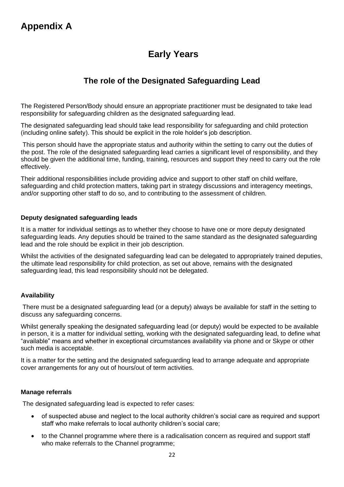### **Early Years**

### **The role of the Designated Safeguarding Lead**

The Registered Person/Body should ensure an appropriate practitioner must be designated to take lead responsibility for safeguarding children as the designated safeguarding lead.

The designated safeguarding lead should take lead responsibility for safeguarding and child protection (including online safety). This should be explicit in the role holder's job description.

This person should have the appropriate status and authority within the setting to carry out the duties of the post. The role of the designated safeguarding lead carries a significant level of responsibility, and they should be given the additional time, funding, training, resources and support they need to carry out the role effectively.

Their additional responsibilities include providing advice and support to other staff on child welfare, safeguarding and child protection matters, taking part in strategy discussions and interagency meetings, and/or supporting other staff to do so, and to contributing to the assessment of children.

### **Deputy designated safeguarding leads**

It is a matter for individual settings as to whether they choose to have one or more deputy designated safeguarding leads. Any deputies should be trained to the same standard as the designated safeguarding lead and the role should be explicit in their job description.

Whilst the activities of the designated safeguarding lead can be delegated to appropriately trained deputies, the ultimate lead responsibility for child protection, as set out above, remains with the designated safeguarding lead, this lead responsibility should not be delegated.

### **Availability**

There must be a designated safeguarding lead (or a deputy) always be available for staff in the setting to discuss any safeguarding concerns.

Whilst generally speaking the designated safeguarding lead (or deputy) would be expected to be available in person, it is a matter for individual setting, working with the designated safeguarding lead, to define what "available" means and whether in exceptional circumstances availability via phone and or Skype or other such media is acceptable.

It is a matter for the setting and the designated safeguarding lead to arrange adequate and appropriate cover arrangements for any out of hours/out of term activities.

### **Manage referrals**

The designated safeguarding lead is expected to refer cases:

- of suspected abuse and neglect to the local authority children's social care as required and support staff who make referrals to local authority children's social care;
- to the Channel programme where there is a radicalisation concern as required and support staff who make referrals to the Channel programme;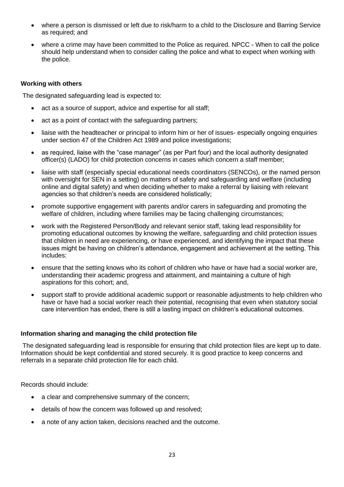- where a person is dismissed or left due to risk/harm to a child to the Disclosure and Barring Service as required; and
- where a crime may have been committed to the Police as required. NPCC When to call the police should help understand when to consider calling the police and what to expect when working with the police.

### **Working with others**

The designated safeguarding lead is expected to:

- act as a source of support, advice and expertise for all staff;
- act as a point of contact with the safeguarding partners;
- liaise with the headteacher or principal to inform him or her of issues- especially ongoing enquiries under section 47 of the Children Act 1989 and police investigations;
- as required, liaise with the "case manager" (as per Part four) and the local authority designated officer(s) (LADO) for child protection concerns in cases which concern a staff member;
- liaise with staff (especially special educational needs coordinators (SENCOs), or the named person with oversight for SEN in a setting) on matters of safety and safeguarding and welfare (including online and digital safety) and when deciding whether to make a referral by liaising with relevant agencies so that children's needs are considered holistically;
- promote supportive engagement with parents and/or carers in safeguarding and promoting the welfare of children, including where families may be facing challenging circumstances;
- work with the Registered Person/Body and relevant senior staff, taking lead responsibility for promoting educational outcomes by knowing the welfare, safeguarding and child protection issues that children in need are experiencing, or have experienced, and identifying the impact that these issues might be having on children's attendance, engagement and achievement at the setting. This includes:
- ensure that the setting knows who its cohort of children who have or have had a social worker are, understanding their academic progress and attainment, and maintaining a culture of high aspirations for this cohort; and,
- support staff to provide additional academic support or reasonable adjustments to help children who have or have had a social worker reach their potential, recognising that even when statutory social care intervention has ended, there is still a lasting impact on children's educational outcomes.

### **Information sharing and managing the child protection file**

The designated safeguarding lead is responsible for ensuring that child protection files are kept up to date. Information should be kept confidential and stored securely. It is good practice to keep concerns and referrals in a separate child protection file for each child.

Records should include:

- a clear and comprehensive summary of the concern;
- details of how the concern was followed up and resolved;
- a note of any action taken, decisions reached and the outcome.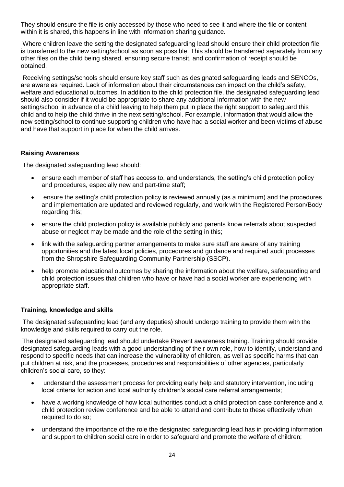They should ensure the file is only accessed by those who need to see it and where the file or content within it is shared, this happens in line with information sharing guidance.

Where children leave the setting the designated safeguarding lead should ensure their child protection file is transferred to the new setting/school as soon as possible. This should be transferred separately from any other files on the child being shared, ensuring secure transit, and confirmation of receipt should be obtained.

Receiving settings/schools should ensure key staff such as designated safeguarding leads and SENCOs, are aware as required. Lack of information about their circumstances can impact on the child's safety, welfare and educational outcomes. In addition to the child protection file, the designated safeguarding lead should also consider if it would be appropriate to share any additional information with the new setting/school in advance of a child leaving to help them put in place the right support to safeguard this child and to help the child thrive in the next setting/school. For example, information that would allow the new setting/school to continue supporting children who have had a social worker and been victims of abuse and have that support in place for when the child arrives.

### **Raising Awareness**

The designated safeguarding lead should:

- ensure each member of staff has access to, and understands, the setting's child protection policy and procedures, especially new and part-time staff;
- ensure the setting's child protection policy is reviewed annually (as a minimum) and the procedures and implementation are updated and reviewed regularly, and work with the Registered Person/Body regarding this;
- ensure the child protection policy is available publicly and parents know referrals about suspected abuse or neglect may be made and the role of the setting in this;
- link with the safeguarding partner arrangements to make sure staff are aware of any training opportunities and the latest local policies, procedures and guidance and required audit processes from the Shropshire Safeguarding Community Partnership (SSCP).
- help promote educational outcomes by sharing the information about the welfare, safeguarding and child protection issues that children who have or have had a social worker are experiencing with appropriate staff.

### **Training, knowledge and skills**

The designated safeguarding lead (and any deputies) should undergo training to provide them with the knowledge and skills required to carry out the role.

The designated safeguarding lead should undertake Prevent awareness training. Training should provide designated safeguarding leads with a good understanding of their own role, how to identify, understand and respond to specific needs that can increase the vulnerability of children, as well as specific harms that can put children at risk, and the processes, procedures and responsibilities of other agencies, particularly children's social care, so they:

- understand the assessment process for providing early help and statutory intervention, including local criteria for action and local authority children's social care referral arrangements;
- have a working knowledge of how local authorities conduct a child protection case conference and a child protection review conference and be able to attend and contribute to these effectively when required to do so;
- understand the importance of the role the designated safeguarding lead has in providing information and support to children social care in order to safeguard and promote the welfare of children;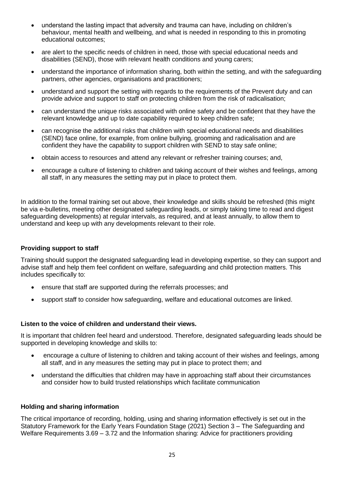- understand the lasting impact that adversity and trauma can have, including on children's behaviour, mental health and wellbeing, and what is needed in responding to this in promoting educational outcomes;
- are alert to the specific needs of children in need, those with special educational needs and disabilities (SEND), those with relevant health conditions and young carers;
- understand the importance of information sharing, both within the setting, and with the safeguarding partners, other agencies, organisations and practitioners;
- understand and support the setting with regards to the requirements of the Prevent duty and can provide advice and support to staff on protecting children from the risk of radicalisation;
- can understand the unique risks associated with online safety and be confident that they have the relevant knowledge and up to date capability required to keep children safe;
- can recognise the additional risks that children with special educational needs and disabilities (SEND) face online, for example, from online bullying, grooming and radicalisation and are confident they have the capability to support children with SEND to stay safe online;
- obtain access to resources and attend any relevant or refresher training courses; and,
- encourage a culture of listening to children and taking account of their wishes and feelings, among all staff, in any measures the setting may put in place to protect them.

In addition to the formal training set out above, their knowledge and skills should be refreshed (this might be via e-bulletins, meeting other designated safeguarding leads, or simply taking time to read and digest safeguarding developments) at regular intervals, as required, and at least annually, to allow them to understand and keep up with any developments relevant to their role.

### **Providing support to staff**

Training should support the designated safeguarding lead in developing expertise, so they can support and advise staff and help them feel confident on welfare, safeguarding and child protection matters. This includes specifically to:

- ensure that staff are supported during the referrals processes; and
- support staff to consider how safeguarding, welfare and educational outcomes are linked.

#### **Listen to the voice of children and understand their views.**

It is important that children feel heard and understood. Therefore, designated safeguarding leads should be supported in developing knowledge and skills to:

- encourage a culture of listening to children and taking account of their wishes and feelings, among all staff, and in any measures the setting may put in place to protect them; and
- understand the difficulties that children may have in approaching staff about their circumstances and consider how to build trusted relationships which facilitate communication

#### **Holding and sharing information**

The critical importance of recording, holding, using and sharing information effectively is set out in the Statutory Framework for the Early Years Foundation Stage (2021) Section 3 – The Safeguarding and Welfare Requirements 3.69 – 3.72 and the Information sharing: Advice for practitioners providing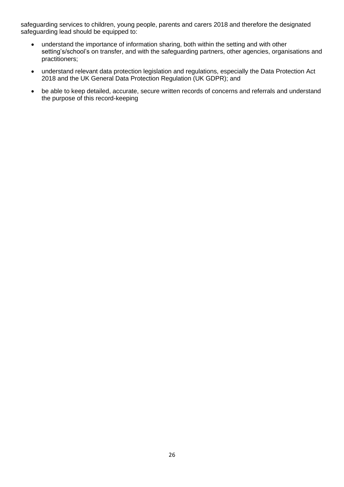safeguarding services to children, young people, parents and carers 2018 and therefore the designated safeguarding lead should be equipped to:

- understand the importance of information sharing, both within the setting and with other setting's/school's on transfer, and with the safeguarding partners, other agencies, organisations and practitioners;
- understand relevant data protection legislation and regulations, especially the Data Protection Act 2018 and the UK General Data Protection Regulation (UK GDPR); and
- be able to keep detailed, accurate, secure written records of concerns and referrals and understand the purpose of this record-keeping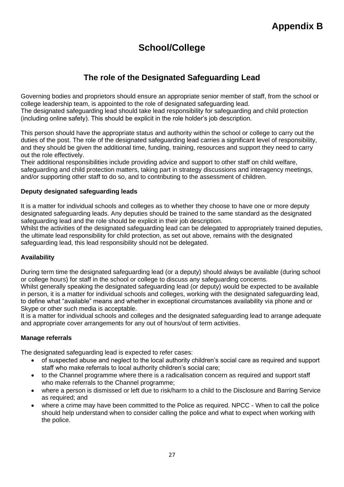### **School/College**

### **The role of the Designated Safeguarding Lead**

Governing bodies and proprietors should ensure an appropriate senior member of staff, from the school or college leadership team, is appointed to the role of designated safeguarding lead.

The designated safeguarding lead should take lead responsibility for safeguarding and child protection (including online safety). This should be explicit in the role holder's job description.

This person should have the appropriate status and authority within the school or college to carry out the duties of the post. The role of the designated safeguarding lead carries a significant level of responsibility, and they should be given the additional time, funding, training, resources and support they need to carry out the role effectively.

Their additional responsibilities include providing advice and support to other staff on child welfare, safeguarding and child protection matters, taking part in strategy discussions and interagency meetings, and/or supporting other staff to do so, and to contributing to the assessment of children.

### **Deputy designated safeguarding leads**

It is a matter for individual schools and colleges as to whether they choose to have one or more deputy designated safeguarding leads. Any deputies should be trained to the same standard as the designated safeguarding lead and the role should be explicit in their job description.

Whilst the activities of the designated safeguarding lead can be delegated to appropriately trained deputies, the ultimate lead responsibility for child protection, as set out above, remains with the designated safeguarding lead, this lead responsibility should not be delegated.

### **Availability**

During term time the designated safeguarding lead (or a deputy) should always be available (during school or college hours) for staff in the school or college to discuss any safeguarding concerns.

Whilst generally speaking the designated safeguarding lead (or deputy) would be expected to be available in person, it is a matter for individual schools and colleges, working with the designated safeguarding lead, to define what "available" means and whether in exceptional circumstances availability via phone and or Skype or other such media is acceptable.

It is a matter for individual schools and colleges and the designated safeguarding lead to arrange adequate and appropriate cover arrangements for any out of hours/out of term activities.

### **Manage referrals**

The designated safeguarding lead is expected to refer cases:

- of suspected abuse and neglect to the local authority children's social care as required and support staff who make referrals to local authority children's social care;
- to the Channel programme where there is a radicalisation concern as required and support staff who make referrals to the Channel programme;
- where a person is dismissed or left due to risk/harm to a child to the Disclosure and Barring Service as required; and
- where a crime may have been committed to the Police as required. NPCC When to call the police should help understand when to consider calling the police and what to expect when working with the police.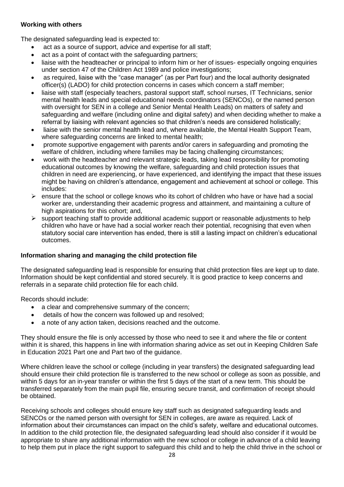### **Working with others**

The designated safeguarding lead is expected to:

- act as a source of support, advice and expertise for all staff:
- act as a point of contact with the safeguarding partners;
- liaise with the headteacher or principal to inform him or her of issues- especially ongoing enquiries under section 47 of the Children Act 1989 and police investigations;
- as required, liaise with the "case manager" (as per Part four) and the local authority designated officer(s) (LADO) for child protection concerns in cases which concern a staff member;
- liaise with staff (especially teachers, pastoral support staff, school nurses, IT Technicians, senior mental health leads and special educational needs coordinators (SENCOs), or the named person with oversight for SEN in a college and Senior Mental Health Leads) on matters of safety and safeguarding and welfare (including online and digital safety) and when deciding whether to make a referral by liaising with relevant agencies so that children's needs are considered holistically;
- liaise with the senior mental health lead and, where available, the Mental Health Support Team, where safeguarding concerns are linked to mental health:
- promote supportive engagement with parents and/or carers in safeguarding and promoting the welfare of children, including where families may be facing challenging circumstances;
- work with the headteacher and relevant strategic leads, taking lead responsibility for promoting educational outcomes by knowing the welfare, safeguarding and child protection issues that children in need are experiencing, or have experienced, and identifying the impact that these issues might be having on children's attendance, engagement and achievement at school or college. This includes:
- ➢ ensure that the school or college knows who its cohort of children who have or have had a social worker are, understanding their academic progress and attainment, and maintaining a culture of high aspirations for this cohort; and,
- $\triangleright$  support teaching staff to provide additional academic support or reasonable adjustments to help children who have or have had a social worker reach their potential, recognising that even when statutory social care intervention has ended, there is still a lasting impact on children's educational outcomes.

### **Information sharing and managing the child protection file**

The designated safeguarding lead is responsible for ensuring that child protection files are kept up to date. Information should be kept confidential and stored securely. It is good practice to keep concerns and referrals in a separate child protection file for each child.

Records should include:

- a clear and comprehensive summary of the concern;
- details of how the concern was followed up and resolved;
- a note of any action taken, decisions reached and the outcome.

They should ensure the file is only accessed by those who need to see it and where the file or content within it is shared, this happens in line with information sharing advice as set out in Keeping Children Safe in Education 2021 Part one and Part two of the guidance.

Where children leave the school or college (including in year transfers) the designated safeguarding lead should ensure their child protection file is transferred to the new school or college as soon as possible, and within 5 days for an in-year transfer or within the first 5 days of the start of a new term. This should be transferred separately from the main pupil file, ensuring secure transit, and confirmation of receipt should be obtained.

Receiving schools and colleges should ensure key staff such as designated safeguarding leads and SENCOs or the named person with oversight for SEN in colleges, are aware as required. Lack of information about their circumstances can impact on the child's safety, welfare and educational outcomes. In addition to the child protection file, the designated safeguarding lead should also consider if it would be appropriate to share any additional information with the new school or college in advance of a child leaving to help them put in place the right support to safeguard this child and to help the child thrive in the school or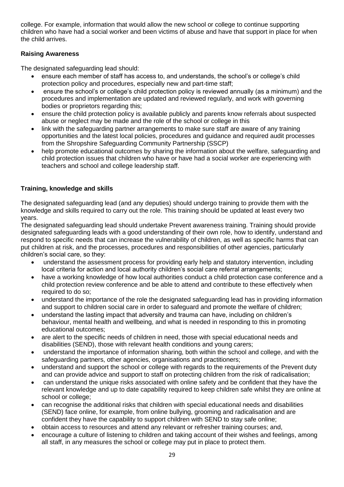college. For example, information that would allow the new school or college to continue supporting children who have had a social worker and been victims of abuse and have that support in place for when the child arrives.

### **Raising Awareness**

The designated safeguarding lead should:

- ensure each member of staff has access to, and understands, the school's or college's child protection policy and procedures, especially new and part-time staff;
- ensure the school's or college's child protection policy is reviewed annually (as a minimum) and the procedures and implementation are updated and reviewed regularly, and work with governing bodies or proprietors regarding this;
- ensure the child protection policy is available publicly and parents know referrals about suspected abuse or neglect may be made and the role of the school or college in this
- link with the safeguarding partner arrangements to make sure staff are aware of any training opportunities and the latest local policies, procedures and guidance and required audit processes from the Shropshire Safeguarding Community Partnership (SSCP)
- help promote educational outcomes by sharing the information about the welfare, safeguarding and child protection issues that children who have or have had a social worker are experiencing with teachers and school and college leadership staff.

### **Training, knowledge and skills**

The designated safeguarding lead (and any deputies) should undergo training to provide them with the knowledge and skills required to carry out the role. This training should be updated at least every two years.

The designated safeguarding lead should undertake Prevent awareness training. Training should provide designated safeguarding leads with a good understanding of their own role, how to identify, understand and respond to specific needs that can increase the vulnerability of children, as well as specific harms that can put children at risk, and the processes, procedures and responsibilities of other agencies, particularly children's social care, so they:

- understand the assessment process for providing early help and statutory intervention, including local criteria for action and local authority children's social care referral arrangements;
- have a working knowledge of how local authorities conduct a child protection case conference and a child protection review conference and be able to attend and contribute to these effectively when required to do so;
- understand the importance of the role the designated safeguarding lead has in providing information and support to children social care in order to safeguard and promote the welfare of children;
- understand the lasting impact that adversity and trauma can have, including on children's behaviour, mental health and wellbeing, and what is needed in responding to this in promoting educational outcomes;
- are alert to the specific needs of children in need, those with special educational needs and disabilities (SEND), those with relevant health conditions and young carers;
- understand the importance of information sharing, both within the school and college, and with the safeguarding partners, other agencies, organisations and practitioners;
- understand and support the school or college with regards to the requirements of the Prevent duty and can provide advice and support to staff on protecting children from the risk of radicalisation;
- can understand the unique risks associated with online safety and be confident that they have the relevant knowledge and up to date capability required to keep children safe whilst they are online at school or college:
- can recognise the additional risks that children with special educational needs and disabilities (SEND) face online, for example, from online bullying, grooming and radicalisation and are confident they have the capability to support children with SEND to stay safe online;
- obtain access to resources and attend any relevant or refresher training courses; and,
- encourage a culture of listening to children and taking account of their wishes and feelings, among all staff, in any measures the school or college may put in place to protect them.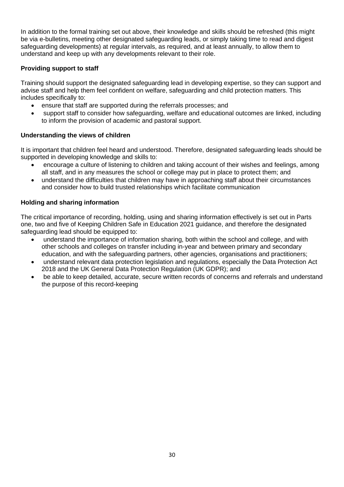In addition to the formal training set out above, their knowledge and skills should be refreshed (this might be via e-bulletins, meeting other designated safeguarding leads, or simply taking time to read and digest safeguarding developments) at regular intervals, as required, and at least annually, to allow them to understand and keep up with any developments relevant to their role.

### **Providing support to staff**

Training should support the designated safeguarding lead in developing expertise, so they can support and advise staff and help them feel confident on welfare, safeguarding and child protection matters. This includes specifically to:

- ensure that staff are supported during the referrals processes; and
- support staff to consider how safeguarding, welfare and educational outcomes are linked, including to inform the provision of academic and pastoral support.

### **Understanding the views of children**

It is important that children feel heard and understood. Therefore, designated safeguarding leads should be supported in developing knowledge and skills to:

- encourage a culture of listening to children and taking account of their wishes and feelings, among all staff, and in any measures the school or college may put in place to protect them; and
- understand the difficulties that children may have in approaching staff about their circumstances and consider how to build trusted relationships which facilitate communication

### **Holding and sharing information**

The critical importance of recording, holding, using and sharing information effectively is set out in Parts one, two and five of Keeping Children Safe in Education 2021 guidance, and therefore the designated safeguarding lead should be equipped to:

- understand the importance of information sharing, both within the school and college, and with other schools and colleges on transfer including in-year and between primary and secondary education, and with the safeguarding partners, other agencies, organisations and practitioners;
- understand relevant data protection legislation and regulations, especially the Data Protection Act 2018 and the UK General Data Protection Regulation (UK GDPR); and
- be able to keep detailed, accurate, secure written records of concerns and referrals and understand the purpose of this record-keeping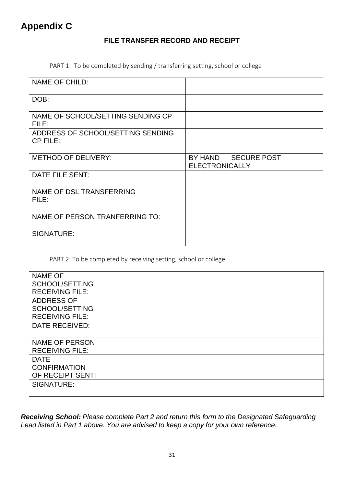### **Appendix C**

### **FILE TRANSFER RECORD AND RECEIPT**

PART 1: To be completed by sending / transferring setting, school or college

| <b>NAME OF CHILD:</b>                         |                                                        |
|-----------------------------------------------|--------------------------------------------------------|
| DOB:                                          |                                                        |
| NAME OF SCHOOL/SETTING SENDING CP<br>FILE:    |                                                        |
| ADDRESS OF SCHOOL/SETTING SENDING<br>CP FILE: |                                                        |
| <b>METHOD OF DELIVERY:</b>                    | <b>SECURE POST</b><br>BY HAND<br><b>ELECTRONICALLY</b> |
| DATE FILE SENT:                               |                                                        |
| NAME OF DSL TRANSFERRING<br>FILE:             |                                                        |
| NAME OF PERSON TRANFERRING TO:                |                                                        |
| SIGNATURE:                                    |                                                        |

PART 2: To be completed by receiving setting, school or college

| <b>NAME OF</b>         |  |
|------------------------|--|
| <b>SCHOOL/SETTING</b>  |  |
| <b>RECEIVING FILE:</b> |  |
| <b>ADDRESS OF</b>      |  |
| <b>SCHOOL/SETTING</b>  |  |
| <b>RECEIVING FILE:</b> |  |
| <b>DATE RECEIVED:</b>  |  |
|                        |  |
| <b>NAME OF PERSON</b>  |  |
| <b>RECEIVING FILE:</b> |  |
| <b>DATE</b>            |  |
| <b>CONFIRMATION</b>    |  |
| OF RECEIPT SENT:       |  |
| SIGNATURE:             |  |
|                        |  |

*Receiving School: Please complete Part 2 and return this form to the Designated Safeguarding Lead listed in Part 1 above. You are advised to keep a copy for your own reference.*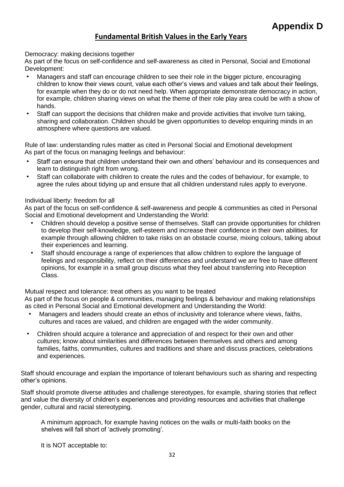### **Fundamental British Values in the Early Years**

Democracy: making decisions together

As part of the focus on self-confidence and self-awareness as cited in Personal, Social and Emotional Development:

- Managers and staff can encourage children to see their role in the bigger picture, encouraging children to know their views count, value each other's views and values and talk about their feelings, for example when they do or do not need help. When appropriate demonstrate democracy in action, for example, children sharing views on what the theme of their role play area could be with a show of hands.
- Staff can support the decisions that children make and provide activities that involve turn taking, sharing and collaboration. Children should be given opportunities to develop enquiring minds in an atmosphere where questions are valued.

Rule of law: understanding rules matter as cited in Personal Social and Emotional development As part of the focus on managing feelings and behaviour:

- Staff can ensure that children understand their own and others' behaviour and its consequences and learn to distinguish right from wrong.
- Staff can collaborate with children to create the rules and the codes of behaviour, for example, to agree the rules about tidying up and ensure that all children understand rules apply to everyone.

### Individual liberty: freedom for all

As part of the focus on self-confidence & self-awareness and people & communities as cited in Personal Social and Emotional development and Understanding the World:

- Children should develop a positive sense of themselves. Staff can provide opportunities for children to develop their self-knowledge, self-esteem and increase their confidence in their own abilities, for example through allowing children to take risks on an obstacle course, mixing colours, talking about their experiences and learning.
- Staff should encourage a range of experiences that allow children to explore the language of feelings and responsibility, reflect on their differences and understand we are free to have different opinions, for example in a small group discuss what they feel about transferring into Reception Class.

Mutual respect and tolerance: treat others as you want to be treated

As part of the focus on people & communities, managing feelings & behaviour and making relationships as cited in Personal Social and Emotional development and Understanding the World:

- Managers and leaders should create an ethos of inclusivity and tolerance where views, faiths, cultures and races are valued, and children are engaged with the wider community.
- Children should acquire a tolerance and appreciation of and respect for their own and other cultures; know about similarities and differences between themselves and others and among families, faiths, communities, cultures and traditions and share and discuss practices, celebrations and experiences.

Staff should encourage and explain the importance of tolerant behaviours such as sharing and respecting other's opinions.

Staff should promote diverse attitudes and challenge stereotypes, for example, sharing stories that reflect and value the diversity of children's experiences and providing resources and activities that challenge gender, cultural and racial stereotyping.

A minimum approach, for example having notices on the walls or multi-faith books on the shelves will fall short of 'actively promoting'.

It is NOT acceptable to: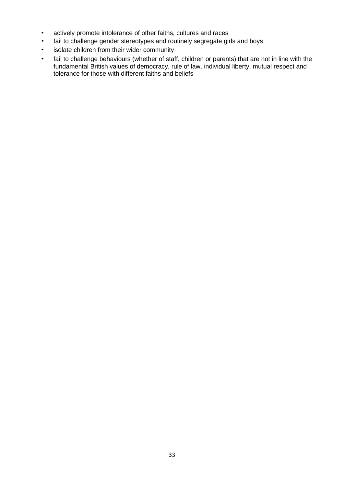- actively promote intolerance of other faiths, cultures and races
- fail to challenge gender stereotypes and routinely segregate girls and boys
- isolate children from their wider community
- fail to challenge behaviours (whether of staff, children or parents) that are not in line with the fundamental British values of democracy, rule of law, individual liberty, mutual respect and tolerance for those with different faiths and beliefs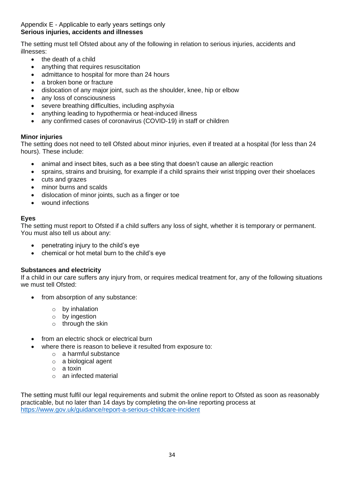### Appendix E - Applicable to early years settings only **Serious injuries, accidents and illnesses**

The setting must tell Ofsted about any of the following in relation to serious injuries, accidents and illnesses:

- the death of a child
- anything that requires resuscitation
- admittance to hospital for more than 24 hours
- a broken bone or fracture
- dislocation of any major joint, such as the shoulder, knee, hip or elbow
- any loss of consciousness
- severe breathing difficulties, including asphyxia
- anything leading to hypothermia or heat-induced illness
- any confirmed cases of coronavirus (COVID-19) in staff or children

### **Minor injuries**

The setting does not need to tell Ofsted about minor injuries, even if treated at a hospital (for less than 24 hours). These include:

- animal and insect bites, such as a bee sting that doesn't cause an allergic reaction
- sprains, strains and bruising, for example if a child sprains their wrist tripping over their shoelaces
- cuts and grazes
- minor burns and scalds
- dislocation of minor joints, such as a finger or toe
- wound infections

### **Eyes**

The setting must report to Ofsted if a child suffers any loss of sight, whether it is temporary or permanent. You must also tell us about any:

- penetrating injury to the child's eye
- chemical or hot metal burn to the child's eye

### **Substances and electricity**

If a child in our care suffers any injury from, or requires medical treatment for, any of the following situations we must tell Ofsted:

- from absorption of any substance:
	- o by inhalation
	- o by ingestion
	- o through the skin
- from an electric shock or electrical burn
- where there is reason to believe it resulted from exposure to:
	- o a harmful substance
	- o a biological agent
	- o a toxin
	- o an infected material

The setting must fulfil our legal requirements and submit the online report to Ofsted as soon as reasonably practicable, but no later than 14 days by completing the on-line reporting process at <https://www.gov.uk/guidance/report-a-serious-childcare-incident>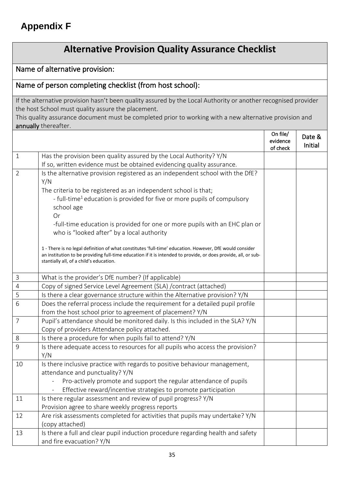## **Alternative Provision Quality Assurance Checklist**

Name of alternative provision:

### Name of person completing checklist (from host school):

If the alternative provision hasn't been quality assured by the Local Authority or another recognised provider the host School must quality assure the placement.

This quality assurance document must be completed prior to working with a new alternative provision and annually thereafter.

|                |                                                                                                                                                                                                                                                                      | On file/<br>evidence<br>of check | Date &<br>Initial |
|----------------|----------------------------------------------------------------------------------------------------------------------------------------------------------------------------------------------------------------------------------------------------------------------|----------------------------------|-------------------|
| $\mathbf{1}$   | Has the provision been quality assured by the Local Authority? Y/N                                                                                                                                                                                                   |                                  |                   |
|                | If so, written evidence must be obtained evidencing quality assurance.                                                                                                                                                                                               |                                  |                   |
| $\overline{2}$ | Is the alternative provision registered as an independent school with the DfE?<br>Y/N                                                                                                                                                                                |                                  |                   |
|                | The criteria to be registered as an independent school is that;<br>- full-time <sup>1</sup> education is provided for five or more pupils of compulsory<br>school age                                                                                                |                                  |                   |
|                | Or<br>-full-time education is provided for one or more pupils with an EHC plan or<br>who is "looked after" by a local authority                                                                                                                                      |                                  |                   |
|                | 1 - There is no legal definition of what constitutes 'full-time' education. However, DfE would consider<br>an institution to be providing full-time education if it is intended to provide, or does provide, all, or sub-<br>stantially all, of a child's education. |                                  |                   |
| $\mathsf 3$    | What is the provider's DfE number? (If applicable)                                                                                                                                                                                                                   |                                  |                   |
| $\sqrt{4}$     | Copy of signed Service Level Agreement (SLA) / contract (attached)                                                                                                                                                                                                   |                                  |                   |
| 5              | Is there a clear governance structure within the Alternative provision? Y/N                                                                                                                                                                                          |                                  |                   |
| 6              | Does the referral process include the requirement for a detailed pupil profile                                                                                                                                                                                       |                                  |                   |
|                | from the host school prior to agreement of placement? Y/N                                                                                                                                                                                                            |                                  |                   |
| 7              | Pupil's attendance should be monitored daily. Is this included in the SLA? Y/N<br>Copy of providers Attendance policy attached.                                                                                                                                      |                                  |                   |
| 8              | Is there a procedure for when pupils fail to attend? Y/N                                                                                                                                                                                                             |                                  |                   |
| 9              | Is there adequate access to resources for all pupils who access the provision?                                                                                                                                                                                       |                                  |                   |
|                | Y/N                                                                                                                                                                                                                                                                  |                                  |                   |
| 10             | Is there inclusive practice with regards to positive behaviour management,                                                                                                                                                                                           |                                  |                   |
|                | attendance and punctuality? Y/N                                                                                                                                                                                                                                      |                                  |                   |
|                | Pro-actively promote and support the regular attendance of pupils                                                                                                                                                                                                    |                                  |                   |
|                | Effective reward/incentive strategies to promote participation                                                                                                                                                                                                       |                                  |                   |
| 11             | Is there regular assessment and review of pupil progress? Y/N                                                                                                                                                                                                        |                                  |                   |
|                | Provision agree to share weekly progress reports                                                                                                                                                                                                                     |                                  |                   |
| 12             | Are risk assessments completed for activities that pupils may undertake? Y/N                                                                                                                                                                                         |                                  |                   |
|                | (copy attached)                                                                                                                                                                                                                                                      |                                  |                   |
| 13             | Is there a full and clear pupil induction procedure regarding health and safety<br>and fire evacuation? Y/N                                                                                                                                                          |                                  |                   |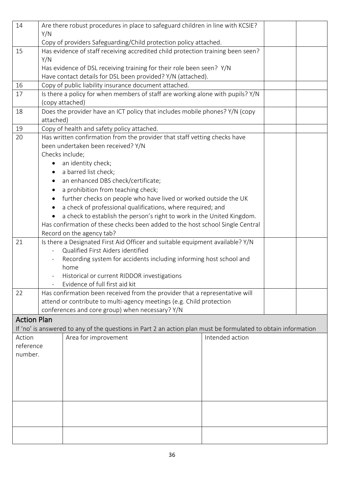| 14                 |                                                                                                            | Are there robust procedures in place to safeguard children in line with KCSIE?                                |                 |  |  |
|--------------------|------------------------------------------------------------------------------------------------------------|---------------------------------------------------------------------------------------------------------------|-----------------|--|--|
|                    | Y/N                                                                                                        |                                                                                                               |                 |  |  |
| 15                 |                                                                                                            | Copy of providers Safeguarding/Child protection policy attached.                                              |                 |  |  |
|                    | Y/N                                                                                                        | Has evidence of staff receiving accredited child protection training been seen?                               |                 |  |  |
|                    |                                                                                                            | Has evidence of DSL receiving training for their role been seen? Y/N                                          |                 |  |  |
|                    |                                                                                                            | Have contact details for DSL been provided? Y/N (attached).                                                   |                 |  |  |
| 16                 |                                                                                                            | Copy of public liability insurance document attached.                                                         |                 |  |  |
| 17                 |                                                                                                            | Is there a policy for when members of staff are working alone with pupils? Y/N                                |                 |  |  |
|                    |                                                                                                            | (copy attached)                                                                                               |                 |  |  |
| 18                 |                                                                                                            | Does the provider have an ICT policy that includes mobile phones? Y/N (copy                                   |                 |  |  |
|                    | attached)                                                                                                  |                                                                                                               |                 |  |  |
| 19                 |                                                                                                            | Copy of health and safety policy attached.                                                                    |                 |  |  |
| 20                 |                                                                                                            | Has written confirmation from the provider that staff vetting checks have                                     |                 |  |  |
|                    |                                                                                                            | been undertaken been received? Y/N                                                                            |                 |  |  |
|                    |                                                                                                            | Checks include;                                                                                               |                 |  |  |
|                    |                                                                                                            | an identity check;                                                                                            |                 |  |  |
|                    | $\bullet$                                                                                                  | a barred list check;                                                                                          |                 |  |  |
|                    | $\bullet$                                                                                                  | an enhanced DBS check/certificate;                                                                            |                 |  |  |
|                    |                                                                                                            | a prohibition from teaching check;                                                                            |                 |  |  |
|                    | $\bullet$                                                                                                  | further checks on people who have lived or worked outside the UK                                              |                 |  |  |
|                    |                                                                                                            | a check of professional qualifications, where required; and                                                   |                 |  |  |
|                    |                                                                                                            | a check to establish the person's right to work in the United Kingdom.                                        |                 |  |  |
|                    |                                                                                                            |                                                                                                               |                 |  |  |
|                    | Has confirmation of these checks been added to the host school Single Central<br>Record on the agency tab? |                                                                                                               |                 |  |  |
| 21                 | Is there a Designated First Aid Officer and suitable equipment available? Y/N                              |                                                                                                               |                 |  |  |
|                    | Qualified First Aiders identified<br>$\overline{\phantom{a}}$                                              |                                                                                                               |                 |  |  |
|                    |                                                                                                            | Recording system for accidents including informing host school and                                            |                 |  |  |
|                    |                                                                                                            | home                                                                                                          |                 |  |  |
|                    |                                                                                                            | Historical or current RIDDOR investigations                                                                   |                 |  |  |
|                    | Evidence of full first aid kit                                                                             |                                                                                                               |                 |  |  |
| 22                 | Has confirmation been received from the provider that a representative will                                |                                                                                                               |                 |  |  |
|                    |                                                                                                            | attend or contribute to multi-agency meetings (e.g. Child protection                                          |                 |  |  |
|                    |                                                                                                            | conferences and core group) when necessary? Y/N                                                               |                 |  |  |
| <b>Action Plan</b> |                                                                                                            |                                                                                                               |                 |  |  |
|                    |                                                                                                            | If 'no' is answered to any of the questions in Part 2 an action plan must be formulated to obtain information |                 |  |  |
| Action             |                                                                                                            | Area for improvement                                                                                          | Intended action |  |  |
| reference          |                                                                                                            |                                                                                                               |                 |  |  |
| number.            |                                                                                                            |                                                                                                               |                 |  |  |
|                    |                                                                                                            |                                                                                                               |                 |  |  |
|                    |                                                                                                            |                                                                                                               |                 |  |  |
|                    |                                                                                                            |                                                                                                               |                 |  |  |
|                    |                                                                                                            |                                                                                                               |                 |  |  |
|                    |                                                                                                            |                                                                                                               |                 |  |  |
|                    |                                                                                                            |                                                                                                               |                 |  |  |
|                    |                                                                                                            |                                                                                                               |                 |  |  |
|                    |                                                                                                            |                                                                                                               |                 |  |  |
|                    |                                                                                                            |                                                                                                               |                 |  |  |
|                    |                                                                                                            |                                                                                                               |                 |  |  |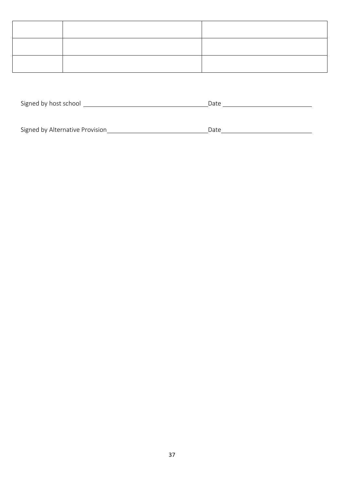| Signed by host school |  |
|-----------------------|--|
|                       |  |

Signed by Alternative Provision Date

37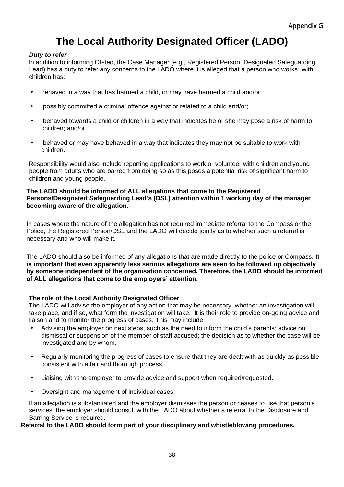# **The Local Authority Designated Officer (LADO)**

### *Duty to refer*

In addition to informing Ofsted, the Case Manager (e.g., Registered Person, Designated Safeguarding Lead) has a duty to refer any concerns to the LADO where it is alleged that a person who works\* with children has:

- behaved in a way that has harmed a child, or may have harmed a child and/or;
- possibly committed a criminal offence against or related to a child and/or;
- behaved towards a child or children in a way that indicates he or she may pose a risk of harm to children; and/or
- behaved or may have behaved in a way that indicates they may not be suitable to work with children.

Responsibility would also include reporting applications to work or volunteer with children and young people from adults who are barred from doing so as this poses a potential risk of significant harm to children and young people.

### **The LADO should be informed of ALL allegations that come to the Registered Persons/Designated Safeguarding Lead's (DSL) attention within 1 working day of the manager becoming aware of the allegation.**

In cases where the nature of the allegation has not required immediate referral to the Compass or the Police, the Registered Person/DSL and the LADO will decide jointly as to whether such a referral is necessary and who will make it.

The LADO should also be informed of any allegations that are made directly to the police or Compass. **It is important that even apparently less serious allegations are seen to be followed up objectively by someone independent of the organisation concerned. Therefore, the LADO should be informed of ALL allegations that come to the employers' attention.** 

### **The role of the Local Authority Designated Officer**

The LADO will advise the employer of any action that may be necessary, whether an investigation will take place, and if so, what form the investigation will take. It is their role to provide on-going advice and liaison and to monitor the progress of cases. This may include:

- Advising the employer on next steps, such as the need to inform the child's parents; advice on dismissal or suspension of the member of staff accused; the decision as to whether the case will be investigated and by whom.
- Regularly monitoring the progress of cases to ensure that they are dealt with as quickly as possible consistent with a fair and thorough process.
- Liaising with the employer to provide advice and support when required/requested.
- Oversight and management of individual cases.

If an allegation is substantiated and the employer dismisses the person or ceases to use that person's services, the employer should consult with the LADO about whether a referral to the Disclosure and Barring Service is required.

### **Referral to the LADO should form part of your disciplinary and whistleblowing procedures.**